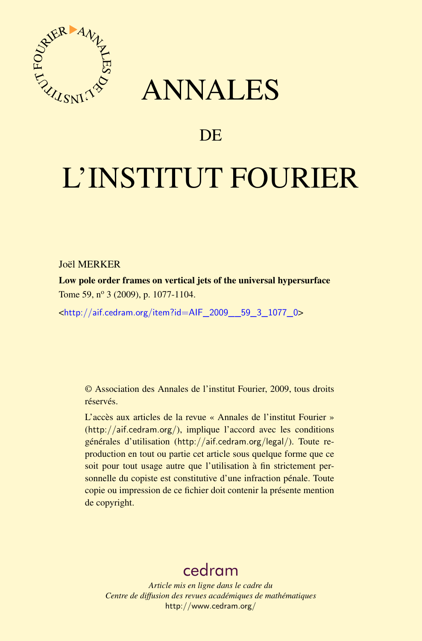

## ANNALES

## **DE**

# L'INSTITUT FOURIER

#### Joël MERKER

Low pole order frames on vertical jets of the universal hypersurface Tome 59, nº 3 (2009), p. 1077-1104.

<[http://aif.cedram.org/item?id=AIF\\_2009\\_\\_59\\_3\\_1077\\_0](http://aif.cedram.org/item?id=AIF_2009__59_3_1077_0)>

© Association des Annales de l'institut Fourier, 2009, tous droits réservés.

L'accès aux articles de la revue « Annales de l'institut Fourier » (<http://aif.cedram.org/>), implique l'accord avec les conditions générales d'utilisation (<http://aif.cedram.org/legal/>). Toute reproduction en tout ou partie cet article sous quelque forme que ce soit pour tout usage autre que l'utilisation à fin strictement personnelle du copiste est constitutive d'une infraction pénale. Toute copie ou impression de ce fichier doit contenir la présente mention de copyright.

## [cedram](http://www.cedram.org/)

*Article mis en ligne dans le cadre du Centre de diffusion des revues académiques de mathématiques* <http://www.cedram.org/>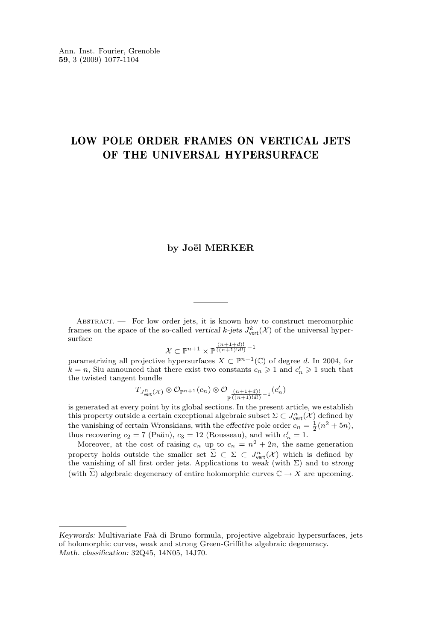### LOW POLE ORDER FRAMES ON VERTICAL JETS OF THE UNIVERSAL HYPERSURFACE

#### **by Joël MERKER**

ABSTRACT. - For low order jets, it is known how to construct meromorphic frames on the space of the so-called *vertical* k-jets  $J^k_{\text{vert}}(\mathcal{X})$  of the universal hypersurface

$$
\mathcal{X} \subset \mathbb{P}^{n+1} \times \mathbb{P}^{\frac{(n+1+d)!}{((n+1)!d!)}-1}
$$

parametrizing all projective hypersurfaces  $X \subset \mathbb{P}^{n+1}(\mathbb{C})$  of degree d. In 2004, for  $k = n$ , Siu announced that there exist two constants  $c_n \geq 1$  and  $c'_n \geq 1$  such that the twisted tangent bundle

$$
T_{J^n_{\text{vert}}(\mathcal{X})}\otimes\mathcal{O}_{\mathbb{P}^{n+1}}(c_n)\otimes\mathcal{O}_{\frac{(n+1+d)!}{\mathbb{P}^{\overline{((n+1)!d!)}}-1}}(c'_n)
$$

is generated at every point by its global sections. In the present article, we establish this property outside a certain exceptional algebraic subset  $\Sigma \subset J^n_{\text{vert}}(\mathcal{X})$  defined by the vanishing of certain Wronskians, with the *effective* pole order  $c_n = \frac{1}{2}(n^2 + 5n)$ , thus recovering  $c_2 = 7$  (Paŭn),  $c_3 = 12$  (Rousseau), and with  $c'_n = 1$ .

Moreover, at the cost of raising  $c_n$  up to  $c_n = n^2 + 2n$ , the same generation property holds outside the smaller set  $\Sigma \subset \Sigma \subset J^n_{\text{vert}}(\mathcal{X})$  which is defined by the vanishing of all first order jets. Applications to *weak* (with  $\Sigma$ ) and to *strong* (with  $\Sigma$ ) algebraic degeneracy of entire holomorphic curves  $\mathbb{C} \to X$  are upcoming.

*Keywords:* Multivariate Faà di Bruno formula, projective algebraic hypersurfaces, jets of holomorphic curves, weak and strong Green-Griffiths algebraic degeneracy. *Math. classification:* 32Q45, 14N05, 14J70.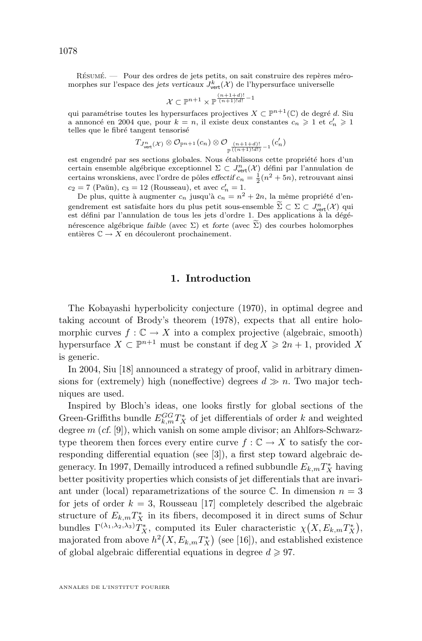Résumé. — Pour des ordres de jets petits, on sait construire des repères méromorphes sur l'espace des *jets verticaux*  $J_{\text{vert}}^k(\mathcal{X})$  de l'hypersurface universelle

$$
\mathcal{X} \subset \mathbb{P}^{n+1} \times \mathbb{P}^{\frac{(n+1+d)!}{(n+1)!d!}-1}
$$

qui paramétrise toutes les hypersurfaces projectives  $X \subset \mathbb{P}^{n+1}(\mathbb{C})$  de degré d. Siu a annoncé en 2004 que, pour  $k=n,$  il existe deux constantes  $c_n\geqslant 1$  et  $c'_n\geqslant 1$ telles que le fibré tangent tensorisé

$$
T_{J^n_{\text{vert}}(\mathcal{X})} \otimes \mathcal{O}_{\mathbb{P}^{n+1}}(c_n) \otimes \mathcal{O}_{\mathbb{P}^{\frac{(n+1+d)!}{(\lceil (n+1)!d! \rceil)}-1}}(c'_n)
$$

est engendré par ses sections globales. Nous établissons cette propriété hors d'un certain ensemble algébrique exceptionnel  $\Sigma \subset J^n_\mathrm{vert}(\mathcal{X})$  défini par l'annulation de certains wronskiens, avec l'ordre de pôles *effectif*  $c_n = \frac{1}{2}(n^2 + 5n)$ , retrouvant ainsi  $c_2 = 7$  (Paŭn),  $c_3 = 12$  (Rousseau), et avec  $c'_n = 1$ .

De plus, quitte à augmenter  $c_n$  jusqu'à  $c_n = n^2 + 2n$ , la même propriété d'engendrement est satisfaite hors du plus petit sous-ensemble  $\Sigma \subset \Sigma \subset J^{\text{ne}}_{\text{vert}}(\mathcal{X})$  qui est défini par l'annulation de tous les jets d'ordre 1. Des applications à la dégé $n_{\text{vert}}(\mathcal{X})$  qui nérescence algébrique *faible* (avec  $\Sigma$ ) et *forte* (avec  $\widetilde{\Sigma}$ ) des courbes holomorphes entières  $\mathbb{C} \to X$  en découleront prochainement.

#### **1. Introduction**

The Kobayashi hyperbolicity conjecture (1970), in optimal degree and taking account of Brody's theorem (1978), expects that all entire holomorphic curves  $f : \mathbb{C} \to X$  into a complex projective (algebraic, smooth) hypersurface  $X \subset \mathbb{P}^{n+1}$  must be constant if  $\deg X \geq 2n+1$ , provided X is generic.

In 2004, Siu [\[18\]](#page-28-0) announced a strategy of proof, valid in arbitrary dimensions for (extremely) high (noneffective) degrees  $d \gg n$ . Two major techniques are used.

Inspired by Bloch's ideas, one looks firstly for global sections of the Green-Griffiths bundle  $E_{k,m}^{GG}T_{X}^{*}$  of jet differentials of order k and weighted degree m (*cf.* [\[9\]](#page-28-0)), which vanish on some ample divisor; an Ahlfors-Schwarztype theorem then forces every entire curve  $f : \mathbb{C} \to X$  to satisfy the corresponding differential equation (see [\[3\]](#page-27-0)), a first step toward algebraic degeneracy. In 1997, Demailly introduced a refined subbundle  $E_{k,m}T^{\ast}_X$  having better positivity properties which consists of jet differentials that are invariant under (local) reparametrizations of the source  $\mathbb C$ . In dimension  $n=3$ for jets of order  $k = 3$ , Rousseau [\[17\]](#page-28-0) completely described the algebraic structure of  $E_{k,m}T_X^*$  in its fibers, decomposed it in direct sums of Schur bundles  $\Gamma^{(\lambda_1,\lambda_2,\lambda_3)}T_X^*$ , computed its Euler characteristic  $\chi(X, E_{k,m}T_X^*)$ , majorated from above  $h^2(X, E_{k,m}T_X^*)$  (see [\[16\]](#page-28-0)), and established existence of global algebraic differential equations in degree  $d \geq 97$ .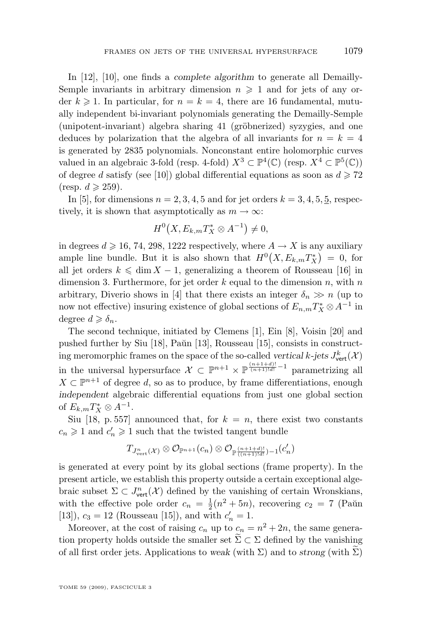In [\[12\]](#page-28-0), [\[10\]](#page-28-0), one finds a *complete algorithm* to generate all Demailly-Semple invariants in arbitrary dimension  $n \geq 1$  and for jets of any order  $k \geq 1$ . In particular, for  $n = k = 4$ , there are 16 fundamental, mutually independent bi-invariant polynomials generating the Demailly-Semple (unipotent-invariant) algebra sharing 41 (gröbnerized) syzygies, and one deduces by polarization that the algebra of all invariants for  $n = k = 4$ is generated by 2835 polynomials. Nonconstant entire holomorphic curves valued in an algebraic 3-fold (resp. 4-fold)  $X^3 \subset \mathbb{P}^4(\mathbb{C})$  (resp.  $X^4 \subset \mathbb{P}^5(\mathbb{C})$ ) of degree d satisfy (see [\[10\]](#page-28-0)) global differential equations as soon as  $d \ge 72$ (resp.  $d \geqslant 259$ ).

In [\[5\]](#page-28-0), for dimensions  $n = 2, 3, 4, 5$  and for jet orders  $k = 3, 4, 5, \underline{5}$ , respectively, it is shown that asymptotically as  $m \to \infty$ :

$$
H^0(X, E_{k,m}T_X^* \otimes A^{-1}) \neq 0,
$$

in degrees  $d \ge 16$ , 74, 298, 1222 respectively, where  $A \to X$  is any auxiliary ample line bundle. But it is also shown that  $H^0(X, E_{k,m}T_X^*) = 0$ , for all jet orders  $k \leq \dim X - 1$ , generalizing a theorem of Rousseau [\[16\]](#page-28-0) in dimension 3. Furthermore, for jet order  $k$  equal to the dimension  $n$ , with  $n$ arbitrary, Diverio shows in [\[4\]](#page-27-0) that there exists an integer  $\delta_n \gg n$  (up to now not effective) insuring existence of global sections of  $E_{n,m}T_{X}^{*}\otimes A^{-1}$  in degree  $d \geqslant \delta_n$ .

The second technique, initiated by Clemens [\[1\]](#page-27-0), Ein [\[8\]](#page-28-0), Voisin [\[20\]](#page-28-0) and pushed further by Siu  $[18]$ , Paŭn  $[13]$ , Rousseau  $[15]$ , consists in constructing meromorphic frames on the space of the so-called *vertical*  $k$ -jets  $J^k_{\text{vert}}(\mathcal{X})$ in the universal hypersurface  $\mathcal{X} \subset \mathbb{P}^{n+1} \times \mathbb{P}^{\frac{(n+1+d)!}{(n+1)!d!}-1}$  parametrizing all  $X \subset \mathbb{P}^{n+1}$  of degree d, so as to produce, by frame differentiations, enough *independent* algebraic differential equations from just one global section of  $E_{k,m}T_X^* \otimes A^{-1}$ .

Siu [\[18,](#page-28-0) p. 557] announced that, for  $k = n$ , there exist two constants  $c_n\geqslant 1$  and  $c'_n\geqslant 1$  such that the twisted tangent bundle

$$
T_{J^n_{\text{vert}}(\mathcal{X})}\otimes\mathcal{O}_{\mathbb{P}^{n+1}}(c_n)\otimes\mathcal{O}_{\mathbb{P}\frac{(n+1+d)!}{((n+1)!d!)}-1}(c'_n)
$$

is generated at every point by its global sections (frame property). In the present article, we establish this property outside a certain exceptional algebraic subset  $\Sigma \subset J^n_{\text{vert}}(\mathcal{X})$  defined by the vanishing of certain Wronskians, with the effective pole order  $c_n = \frac{1}{2}(n^2 + 5n)$ , recovering  $c_2 = 7$  (Paŭn [\[13\]](#page-28-0)),  $c_3 = 12$  (Rousseau [\[15\]](#page-28-0)), and with  $c'_n = 1$ .

Moreover, at the cost of raising  $c_n$  up to  $c_n = n^2 + 2n$ , the same generation property holds outside the smaller set  $\widetilde{\Sigma} \subset \Sigma$  defined by the vanishing of all first order jets. Applications to *weak* (with  $\Sigma$ ) and to *strong* (with  $\Sigma$ )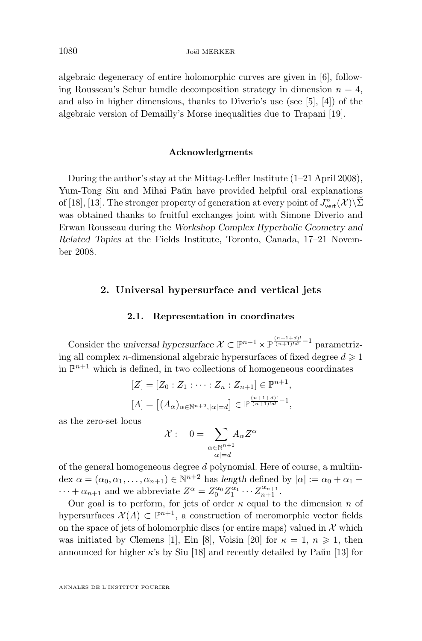algebraic degeneracy of entire holomorphic curves are given in [\[6\]](#page-28-0), following Rousseau's Schur bundle decomposition strategy in dimension  $n = 4$ , and also in higher dimensions, thanks to Diverio's use (see [\[5\]](#page-28-0), [\[4\]](#page-27-0)) of the algebraic version of Demailly's Morse inequalities due to Trapani [\[19\]](#page-28-0).

#### **Acknowledgments**

During the author's stay at the Mittag-Leffler Institute (1–21 April 2008), Yum-Tong Siu and Mihai Paŭn have provided helpful oral explanations of [\[18\]](#page-28-0), [\[13\]](#page-28-0). The stronger property of generation at every point of  $J^n_{\text{vert}}(\mathcal{X})\setminus\Sigma$ was obtained thanks to fruitful exchanges joint with Simone Diverio and Erwan Rousseau during the *Workshop Complex Hyperbolic Geometry and Related Topics* at the Fields Institute, Toronto, Canada, 17–21 November 2008.

#### **2. Universal hypersurface and vertical jets**

#### **2.1. Representation in coordinates**

Consider the *universal hypersurface*  $\mathcal{X} \subset \mathbb{P}^{n+1} \times \mathbb{P}^{\frac{(n+1+d)!}{(n+1)!d!}-1}$  parametrizing all complex *n*-dimensional algebraic hypersurfaces of fixed degree  $d \geq 1$ in  $\mathbb{P}^{n+1}$  which is defined, in two collections of homogeneous coordinates

$$
[Z] = [Z_0 : Z_1 : \cdots : Z_n : Z_{n+1}] \in \mathbb{P}^{n+1},
$$
  

$$
[A] = [(A_{\alpha})_{\alpha \in \mathbb{N}^{n+2}, |\alpha| = d}] \in \mathbb{P}^{\frac{(n+1+d)!}{(n+1)!d!} - 1},
$$

as the zero-set locus

$$
\mathcal{X}: \quad 0 = \sum_{\substack{\alpha \in \mathbb{N}^{n+2} \\ |\alpha| = d}} A_{\alpha} Z^{\alpha}
$$

of the general homogeneous degree d polynomial. Here of course, a multiindex  $\alpha = (\alpha_0, \alpha_1, \dots, \alpha_{n+1}) \in \mathbb{N}^{n+2}$  has length defined by  $|\alpha| := \alpha_0 + \alpha_1 + \alpha_2$  $\cdots + \alpha_{n+1}$  and we abbreviate  $Z^{\alpha} = Z_0^{\alpha_0} Z_1^{\alpha_1} \cdots Z_{n+1}^{\alpha_{n+1}}$ .

Our goal is to perform, for jets of order  $\kappa$  equal to the dimension n of hypersurfaces  $\mathcal{X}(A) \subset \mathbb{P}^{n+1}$ , a construction of meromorphic vector fields on the space of jets of holomorphic discs (or entire maps) valued in  $\mathcal X$  which was initiated by Clemens [\[1\]](#page-27-0), Ein [\[8\]](#page-28-0), Voisin [\[20\]](#page-28-0) for  $\kappa = 1, n \ge 1$ , then announced for higher  $\kappa$ 's by Siu [\[18\]](#page-28-0) and recently detailed by Paŭn [\[13\]](#page-28-0) for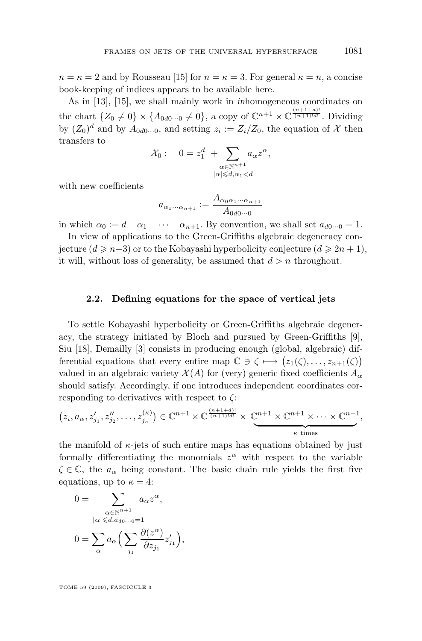$n = \kappa = 2$  and by Rousseau [\[15\]](#page-28-0) for  $n = \kappa = 3$ . For general  $\kappa = n$ , a concise book-keeping of indices appears to be available here.

As in [\[13\]](#page-28-0), [\[15\]](#page-28-0), we shall mainly work in *in*homogeneous coordinates on the chart  $\{Z_0 \neq 0\} \times \{A_{0d0\cdots 0} \neq 0\}$ , a copy of  $\mathbb{C}^{n+1} \times \mathbb{C}^{\frac{(n+1+d)!}{(n+1)!d!}}$ . Dividing by  $(Z_0)^d$  and by  $A_{0d0\cdots0}$ , and setting  $z_i := Z_i/Z_0$ , the equation of X then transfers to

$$
\mathcal{X}_0: \quad 0 = z_1^d \; + \sum_{\substack{\alpha \in \mathbb{N}^{n+1} \\ |\alpha| \leq d, \alpha_1 < d}} a_\alpha z^\alpha,
$$

with new coefficients

$$
a_{\alpha_1 \cdots \alpha_{n+1}} := \frac{A_{\alpha_0 \alpha_1 \cdots \alpha_{n+1}}}{A_{0d0\cdots 0}}
$$

in which  $\alpha_0 := d - \alpha_1 - \cdots - \alpha_{n+1}$ . By convention, we shall set  $a_{d0\cdots 0} = 1$ .

In view of applications to the Green-Griffiths algebraic degeneracy conjecture  $(d \geq n+3)$  or to the Kobayashi hyperbolicity conjecture  $(d \geq 2n+1)$ , it will, without loss of generality, be assumed that  $d > n$  throughout.

#### **2.2. Defining equations for the space of vertical jets**

To settle Kobayashi hyperbolicity or Green-Griffiths algebraic degeneracy, the strategy initiated by Bloch and pursued by Green-Griffiths [\[9\]](#page-28-0), Siu [\[18\]](#page-28-0), Demailly [\[3\]](#page-27-0) consists in producing enough (global, algebraic) differential equations that every entire map  $\mathbb{C} \ni \zeta \longmapsto (z_1(\zeta), \dots, z_{n+1}(\zeta))$ valued in an algebraic variety  $\mathcal{X}(A)$  for (very) generic fixed coefficients  $A_{\alpha}$ should satisfy. Accordingly, if one introduces independent coordinates corresponding to derivatives with respect to  $\zeta$ :

$$
(z_i, a_{\alpha}, z'_{j_1}, z''_{j_2}, \dots, z^{(\kappa)}_{j_{\kappa}}) \in \mathbb{C}^{n+1} \times \mathbb{C}^{\frac{(n+1+d)!}{(n+1)!d!}} \times \underbrace{\mathbb{C}^{n+1} \times \mathbb{C}^{n+1} \times \cdots \times \mathbb{C}^{n+1}}_{\kappa \text{ times}},
$$

the manifold of  $\kappa$ -jets of such entire maps has equations obtained by just formally differentiating the monomials  $z^{\alpha}$  with respect to the variable  $\zeta \in \mathbb{C}$ , the  $a_{\alpha}$  being constant. The basic chain rule yields the first five equations, up to  $\kappa = 4$ :

$$
0 = \sum_{\substack{\alpha \in \mathbb{N}^{n+1} \\ |\alpha| \le d, a_{d0} \dots 0 = 1}} a_{\alpha} z^{\alpha},
$$

$$
0 = \sum_{\alpha} a_{\alpha} \Big( \sum_{j_1} \frac{\partial(z^{\alpha})}{\partial z_{j_1}} z'_{j_1} \Big),
$$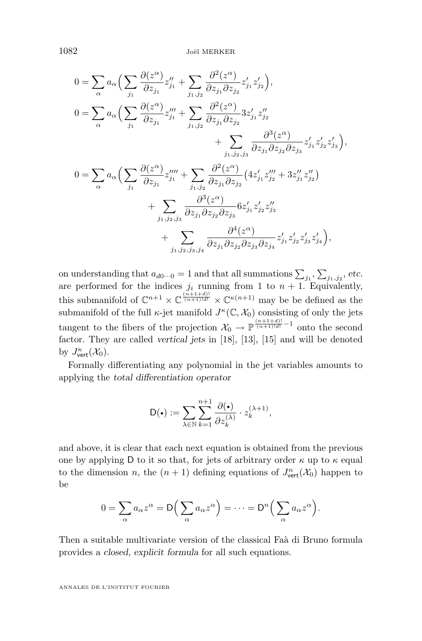$$
0 = \sum_{\alpha} a_{\alpha} \Big( \sum_{j_1} \frac{\partial(z^{\alpha})}{\partial z_{j_1}} z_{j_1}'' + \sum_{j_1, j_2} \frac{\partial^2(z^{\alpha})}{\partial z_{j_1} \partial z_{j_2}} z_{j_1}' z_{j_2}' \Big),
$$
  
\n
$$
0 = \sum_{\alpha} a_{\alpha} \Big( \sum_{j_1} \frac{\partial(z^{\alpha})}{\partial z_{j_1}} z_{j_1}''' + \sum_{j_1, j_2} \frac{\partial^2(z^{\alpha})}{\partial z_{j_1} \partial z_{j_2}} 3 z_{j_1}' z_{j_2}'' + \sum_{j_1, j_2, j_3} \frac{\partial^3(z^{\alpha})}{\partial z_{j_1} \partial z_{j_2} \partial z_{j_3}} z_{j_1}' z_{j_2}' z_{j_3}' \Big),
$$
  
\n
$$
0 = \sum_{\alpha} a_{\alpha} \Big( \sum_{j_1} \frac{\partial(z^{\alpha})}{\partial z_{j_1}} z_{j_1}''' + \sum_{j_1, j_2} \frac{\partial^2(z^{\alpha})}{\partial z_{j_1} \partial z_{j_2}} (4 z_{j_1}' z_{j_2}'' + 3 z_{j_1}' z_{j_2}'' \Big) + \sum_{j_1, j_2, j_3} \frac{\partial^3(z^{\alpha})}{\partial z_{j_1} \partial z_{j_2} \partial z_{j_3}} 6 z_{j_1}' z_{j_2}' z_{j_3}' + \sum_{j_1, j_2, j_3, j_4} \frac{\partial^4(z^{\alpha})}{\partial z_{j_1} \partial z_{j_2} \partial z_{j_3} \partial z_{j_4}} z_{j_1}' z_{j_2}' z_{j_3}' z_{j_4}' \Big),
$$

on understanding that  $a_{d0\cdots0} = 1$  and that all summations  $\sum_{j_1}, \sum_{j_1,j_2}$ , *etc.* are performed for the indices  $j_i$  running from 1 to  $n + 1$ . Equivalently, this submanifold of  $\mathbb{C}^{n+1} \times \mathbb{C}^{(\frac{(n+1+d)!}{(n+1)!d!})} \times \mathbb{C}^{(\kappa(n+1))}$  may be be defined as the submanifold of the full  $\kappa$ -jet manifold  $J^{\kappa}(\mathbb{C}, \mathcal{X}_0)$  consisting of only the jets tangent to the fibers of the projection  $\mathcal{X}_0 \to \mathbb{P}^{\frac{(n+1+d)!}{(n+1)!d!}-1}$  onto the second factor. They are called *vertical jets* in [\[18\]](#page-28-0), [\[13\]](#page-28-0), [\[15\]](#page-28-0) and will be denoted by  $J_{\text{vert}}^{\kappa}(\mathcal{X}_0)$ .

Formally differentiating any polynomial in the jet variables amounts to applying the *total differentiation operator*

$$
\mathsf{D}(\bullet) := \sum_{\lambda \in \mathbb{N}} \sum_{k=1}^{n+1} \frac{\partial(\bullet)}{\partial z_k^{(\lambda)}} \cdot z_k^{(\lambda+1)},
$$

and above, it is clear that each next equation is obtained from the previous one by applying D to it so that, for jets of arbitrary order  $\kappa$  up to  $\kappa$  equal to the dimension *n*, the  $(n + 1)$  defining equations of  $J^n_{\text{vert}}(\mathcal{X}_0)$  happen to be

$$
0 = \sum_{\alpha} a_{\alpha} z^{\alpha} = \mathsf{D}\Big(\sum_{\alpha} a_{\alpha} z^{\alpha}\Big) = \cdots = \mathsf{D}^n\Big(\sum_{\alpha} a_{\alpha} z^{\alpha}\Big).
$$

Then a suitable multivariate version of the classical Faà di Bruno formula provides a *closed, explicit formula* for all such equations.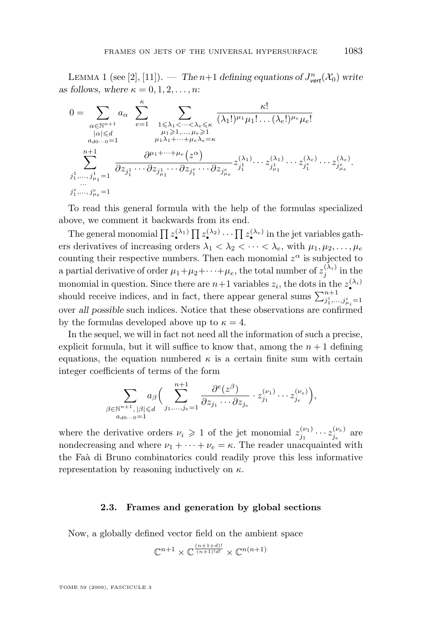LEMMA 1 (see [\[2\]](#page-27-0), [\[11\]](#page-28-0)). — *The*  $n+1$  *defining equations of*  $J^n_{\text{vert}}(\mathcal{X}_0)$  write *as follows, where*  $\kappa = 0, 1, 2, \ldots, n$ :

$$
0 = \sum_{\substack{\alpha \in \mathbb{N}^{n+1} \\ |\alpha| \leqslant d \\ a_{d0\cdots 0}=1}} a_{\alpha} \sum_{e=1}^{\kappa} \sum_{\substack{1 \leqslant \lambda_1 < \cdots < \lambda_e \leqslant \kappa \\ \mu_1 \geqslant 1, \ldots, \mu_e \geqslant 1 \\ \mu_1 \lambda_1 + \cdots + \mu_e \lambda_e = \kappa \\ \sum_{j_1^1, \ldots, j_{\mu_1}^1 = 1 \\ \vdots \\ j_1^e, \ldots, j_{\mu_e}^e = 1}} \frac{\partial^{\mu_1 + \cdots + \mu_e}(\boldsymbol{z}^{\alpha})}{\partial z_{j_1^1} \cdots \partial z_{j_{\mu_1}^1} \cdots \partial z_{j_1^e} \cdots \partial z_{j_{\mu_e}^e}} z_{j_1^1}^{(\lambda_1)} \cdots z_{j_1^1}^{(\lambda_1)} \cdots z_{j_1^e}^{(\lambda_e)} \cdots z_{j_{\mu_e}^e}^{(\lambda_e)}.
$$

To read this general formula with the help of the formulas specialized above, we comment it backwards from its end.

The general monomial  $\prod_{\alpha} z_{\bullet}^{(\lambda_1)} \prod_{\alpha} z_{\bullet}^{(\lambda_2)} \cdots \prod_{\alpha} z_{\bullet}^{(\lambda_e)}$  in the jet variables gathers derivatives of increasing orders  $\lambda_1 < \lambda_2 < \cdots < \lambda_e$ , with  $\mu_1, \mu_2, \ldots, \mu_e$ counting their respective numbers. Then each monomial  $z^{\alpha}$  is subjected to a partial derivative of order  $\mu_1 + \mu_2 + \cdots + \mu_e$ , the total number of  $z_j^{(\lambda_i)}$  in the monomial in question. Since there are  $n+1$  variables  $z_i$ , the dots in the  $z_i^{(\lambda_i)}$ should receive indices, and in fact, there appear general sums  $\sum_{j_1^i,...,j_{\mu_i}^i=1}^{n+1}$ over *all possible* such indices. Notice that these observations are confirmed by the formulas developed above up to  $\kappa = 4$ .

In the sequel, we will in fact not need all the information of such a precise, explicit formula, but it will suffice to know that, among the  $n + 1$  defining equations, the equation numbered  $\kappa$  is a certain finite sum with certain integer coefficients of terms of the form

$$
\sum_{\substack{\beta \in \mathbb{N}^{n+1}, |\beta| \leq d \\ a_{d0} \ldots 0 = 1}} a_{\beta} \Big( \sum_{j_1, \ldots, j_e=1}^{n+1} \frac{\partial^e(z^{\beta})}{\partial z_{j_1} \cdots \partial z_{j_e}} \cdot z_{j_1}^{(\nu_1)} \cdots z_{j_e}^{(\nu_e)} \Big),
$$

where the derivative orders  $\nu_i \geq 1$  of the jet monomial  $z_{j_1}^{(\nu_1)} \cdots z_{j_e}^{(\nu_e)}$  are nondecreasing and where  $\nu_1 + \cdots + \nu_e = \kappa$ . The reader unacquainted with the Faà di Bruno combinatorics could readily prove this less informative representation by reasoning inductively on  $\kappa$ .

#### **2.3. Frames and generation by global sections**

Now, a globally defined vector field on the ambient space

$$
\mathbb{C}^{n+1}\times \mathbb{C}^{\frac{(n+1+d)!}{(n+1)!d!}}\times \mathbb{C}^{n(n+1)}
$$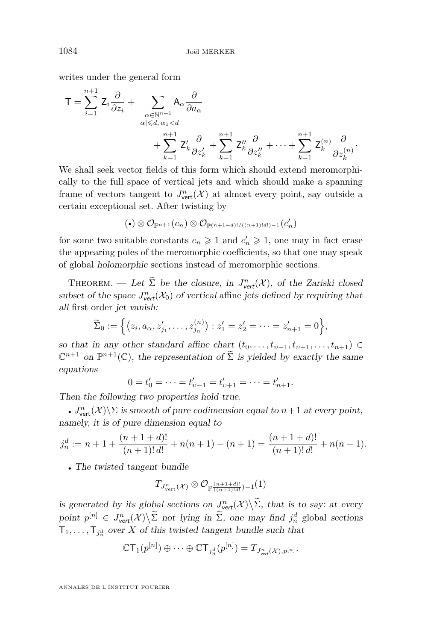writes under the general form

$$
T = \sum_{i=1}^{n+1} Z_i \frac{\partial}{\partial z_i} + \sum_{\substack{\alpha \in \mathbb{N}^{n+1} \\ |\alpha| \leq d, \alpha_1 < d}} A_\alpha \frac{\partial}{\partial a_\alpha} + \sum_{\substack{\alpha_1 \leq d \\ k=1}}^{n+1} Z'_k \frac{\partial}{\partial z'_k} + \sum_{k=1}^{n+1} Z''_k \frac{\partial}{\partial z''_k} + \dots + \sum_{k=1}^{n+1} Z_k^{(n)} \frac{\partial}{\partial z_k^{(n)}}.
$$

We shall seek vector fields of this form which should extend meromorphically to the full space of vertical jets and which should make a spanning frame of vectors tangent to  $J^n_{\text{vert}}(\mathcal{X})$  at almost every point, say outside a certain exceptional set. After twisting by

$$
(\bullet)\otimes \mathcal{O}_{\mathbb{P}^{n+1}}(c_n)\otimes \mathcal{O}_{\mathbb{P}^{(n+1+d)!\,((n+1)!d!)-1}}(c'_n)
$$

for some two suitable constants  $c_n \geq 1$  and  $c'_n \geq 1$ , one may in fact erase the appearing poles of the meromorphic coefficients, so that one may speak of global *holomorphic* sections instead of meromorphic sections.

THEOREM. — Let  $\tilde{\Sigma}$  be the closure, in  $J^n_{\text{vert}}(\mathcal{X})$ , of the Zariski closed subset of the space  $J^n_{\text{vert}}(\mathcal{X}_0)$  of vertical affine *jets defined by requiring that all* first order *jet vanish:*

$$
\widetilde{\Sigma}_0 := \left\{ (z_i, a_{\alpha}, z'_{j_1}, \dots, z^{(n)}_{j_n}) : z'_1 = z'_2 = \dots = z'_{n+1} = 0 \right\},\,
$$

*so that in any other standard affine chart*  $(t_0, \ldots, t_{\nu-1}, t_{\nu+1}, \ldots, t_{n+1}) \in$  $\mathbb{C}^{n+1}$  on  $\mathbb{P}^{n+1}(\mathbb{C})$ , the representation of  $\widetilde{\Sigma}$  is yielded by exactly the same *equations*

$$
0 = t'_0 = \dots = t'_{v-1} = t'_{v+1} = \dots = t'_{n+1}.
$$

*Then the following two properties hold true.*

•  $J^n_{\text{vert}}(\mathcal{X})\backslash\Sigma$  *is smooth of pure codimension equal to*  $n+1$  *at every point, namely, it is of pure dimension equal to*

$$
j_n^d := n + 1 + \frac{(n+1+d)!}{(n+1)!d!} + n(n+1) - (n+1) = \frac{(n+1+d)!}{(n+1)!d!} + n(n+1).
$$

• *The twisted tangent bundle*

$$
T_{J^n_{\text{vert}}(\mathcal{X})} \otimes \mathcal{O}_{\mathbb{P} \frac{(n+1+d)!}{((n+1)!d!)} - 1}(1)
$$

is generated by its global sections on  $J^n_{\text{vert}}(\mathcal{X}) \setminus \Sigma$ , that is to say: at every  $point p^{[n]} \in J^n_{\text{vert}}(\mathcal{X}) \setminus \Sigma$  *not lying in*  $\widetilde{\Sigma}$ *, one may find*  $j_n^d$  global *sections*  $\mathsf{T}_1,\ldots,\mathsf{T}_{j_n^d}$  over X of this twisted tangent bundle such that

$$
\mathbb{C} \mathsf{T}_1(p^{[n]}) \oplus \cdots \oplus \mathbb{C} \mathsf{T}_{j_n^d}(p^{[n]}) = T_{J^n_{\text{vert}}(\mathcal{X}),p^{[n]}}.
$$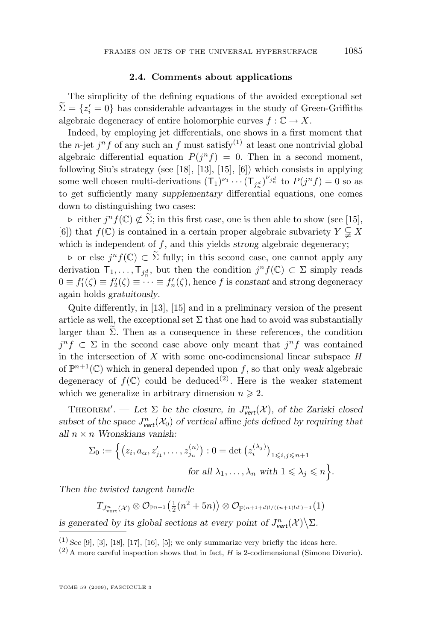#### **2.4. Comments about applications**

The simplicity of the defining equations of the avoided exceptional set  $\sum = \{z'_i = 0\}$  has considerable advantages in the study of Green-Griffiths algebraic degeneracy of entire holomorphic curves  $f: \mathbb{C} \to X$ .

Indeed, by employing jet differentials, one shows in a first moment that the *n*-jet  $j^n f$  of any such an f must satisfy<sup>(1)</sup> at least one nontrivial global algebraic differential equation  $P(j^n f) = 0$ . Then in a second moment, following Siu's strategy (see [\[18\]](#page-28-0), [\[13\]](#page-28-0), [\[15\]](#page-28-0), [\[6\]](#page-28-0)) which consists in applying some well chosen multi-derivations  $(T_1)^{\nu_1} \cdots (T_{j_n^d})^{\nu_{j_n^d}}$  to  $P(j^nf) = 0$  so as to get sufficiently many *supplementary* differential equations, one comes down to distinguishing two cases:

 $\triangleright$  either j<sup>n</sup> f(C)  $\not\subset \widetilde{\Sigma}$ ; in this first case, one is then able to show (see [\[15\]](#page-28-0), [\[6\]](#page-28-0)) that  $f(\mathbb{C})$  is contained in a certain proper algebraic subvariety  $Y \subsetneq X$ which is independent of f, and this yields *strong* algebraic degeneracy;

 $\triangleright$  or else j<sup>n</sup> f(ℂ) ⊂  $\widetilde{\Sigma}$  fully; in this second case, one cannot apply any derivation  $\mathsf{T}_1,\ldots,\mathsf{T}_{j_n^d}$ , but then the condition  $j^nf(\mathbb{C})\subset\Sigma$  simply reads  $0 \equiv f'_1(\zeta) \equiv f'_2(\zeta) \equiv \cdots \equiv f'_n(\zeta)$ , hence f is constant and strong degeneracy again holds *gratuitously*.

Quite differently, in [\[13\]](#page-28-0), [\[15\]](#page-28-0) and in a preliminary version of the present article as well, the exceptional set  $\Sigma$  that one had to avoid was substantially larger than  $\tilde{\Sigma}$ . Then as a consequence in these references, the condition  $j^n f \subset \Sigma$  in the second case above only meant that  $j^n f$  was contained in the intersection of  $X$  with some one-codimensional linear subspace  $H$ of  $\mathbb{P}^{n+1}(\mathbb{C})$  which in general depended upon f, so that only *weak* algebraic degeneracy of  $f(\mathbb{C})$  could be deduced<sup>(2)</sup>. Here is the weaker statement which we generalize in arbitrary dimension  $n \geq 2$ .

THEOREM'. — Let  $\Sigma$  be the closure, in  $J^n_{\text{vert}}(\mathcal{X})$ , of the Zariski closed subset of the space  $J^n_{\text{vert}}(\mathcal{X}_0)$  of vertical affine *jets defined by requiring that all* n × n *Wronskians vanish:*

$$
\Sigma_0 := \Big\{ \big(z_i, a_\alpha, z'_{j_1}, \dots, z^{(n)}_{j_n} \big) : 0 = \det \big(z^{(\lambda_j)}_i \big)_{1 \leqslant i, j \leqslant n+1}
$$
  
for all  $\lambda_1, \dots, \lambda_n$  with  $1 \leqslant \lambda_j \leqslant n \Big\}.$ 

*Then the twisted tangent bundle*

 $T_{J^n_{\text{vert}}(\mathcal{X})}\otimes \mathcal{O}_{\mathbb{P}^{n+1}}\big(\frac{1}{2}(n^2+5n)\big)\otimes \mathcal{O}_{\mathbb{P}^{(n+1+d)!\,((n+1)!d!)-1}}(1)$ 

*is generated by its global sections at every point of*  $J^n_{\text{vert}}(\mathcal{X}) \setminus \Sigma$ .

 $(1)$  *See* [\[9\]](#page-28-0), [\[3\]](#page-27-0), [\[18\]](#page-28-0), [\[17\]](#page-28-0), [\[16\]](#page-28-0), [\[5\]](#page-28-0); we only summarize very briefly the ideas here.

 $(2)$  A more careful inspection shows that in fact, H is 2-codimensional (Simone Diverio).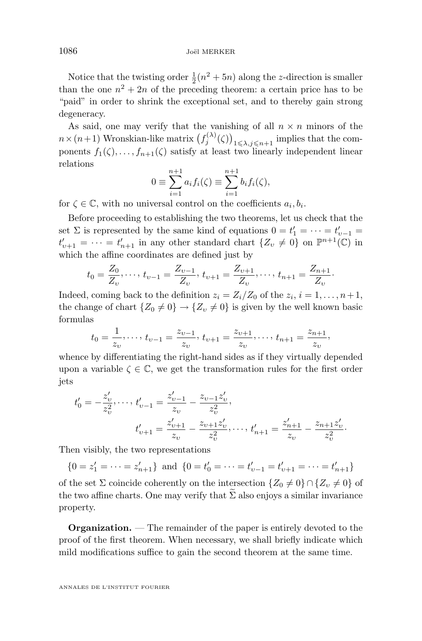Notice that the twisting order  $\frac{1}{2}(n^2 + 5n)$  along the z-direction is smaller than the one  $n^2 + 2n$  of the preceding theorem: a certain price has to be "paid" in order to shrink the exceptional set, and to thereby gain strong degeneracy.

As said, one may verify that the vanishing of all  $n \times n$  minors of the  $n \times (n+1)$  Wronskian-like matrix  $(f_j^{(\lambda)}(\zeta))_{1 \leq \lambda, j \leq n+1}$  implies that the components  $f_1(\zeta), \ldots, f_{n+1}(\zeta)$  satisfy at least two linearly independent linear relations

$$
0 \equiv \sum_{i=1}^{n+1} a_i f_i(\zeta) \equiv \sum_{i=1}^{n+1} b_i f_i(\zeta),
$$

for  $\zeta \in \mathbb{C}$ , with no universal control on the coefficients  $a_i, b_i$ .

Before proceeding to establishing the two theorems, let us check that the set  $\Sigma$  is represented by the same kind of equations  $0 = t'_1 = \cdots = t'_{\nu-1} =$  $t'_{\nu+1} = \cdots = t'_{n+1}$  in any other standard chart  $\{Z_{\nu} \neq 0\}$  on  $\mathbb{P}^{n+1}(\mathbb{C})$  in which the affine coordinates are defined just by

$$
t_0 = \frac{Z_0}{Z_v}, \dots, t_{v-1} = \frac{Z_{v-1}}{Z_v}, t_{v+1} = \frac{Z_{v+1}}{Z_v}, \dots, t_{n+1} = \frac{Z_{n+1}}{Z_v}.
$$

Indeed, coming back to the definition  $z_i = Z_i/Z_0$  of the  $z_i$ ,  $i = 1, \ldots, n+1$ , the change of chart  $\{Z_0 \neq 0\} \rightarrow \{Z_v \neq 0\}$  is given by the well known basic formulas

$$
t_0 = \frac{1}{z_v}, \dots, t_{v-1} = \frac{z_{v-1}}{z_v}, t_{v+1} = \frac{z_{v+1}}{z_v}, \dots, t_{n+1} = \frac{z_{n+1}}{z_v},
$$

whence by differentiating the right-hand sides as if they virtually depended upon a variable  $\zeta \in \mathbb{C}$ , we get the transformation rules for the first order jets

$$
t'_{0} = -\frac{z'_{v}}{z_{v}^{2}}, \dots, t'_{v-1} = \frac{z'_{v-1}}{z_{v}} - \frac{z_{v-1}z'_{v}}{z_{v}^{2}},
$$
  

$$
t'_{v+1} = \frac{z'_{v+1}}{z_{v}} - \frac{z_{v+1}z'_{v}}{z_{v}^{2}}, \dots, t'_{n+1} = \frac{z'_{n+1}}{z_{v}} - \frac{z_{n+1}z'_{v}}{z_{v}^{2}}.
$$

Then visibly, the two representations

 $\{0 = z'_1 = \cdots = z'_{n+1}\}\$ and  $\{0 = t'_0 = \cdots = t'_{v-1} = t'_{v+1} = \cdots = t'_{n+1}\}\$ 

of the set  $\Sigma$  coincide coherently on the intersection  $\{Z_0 \neq 0\} \cap \{Z_v \neq 0\}$  of the two affine charts. One may verify that  $\Sigma$  also enjoys a similar invariance property.

**Organization.** — The remainder of the paper is entirely devoted to the proof of the first theorem. When necessary, we shall briefly indicate which mild modifications suffice to gain the second theorem at the same time.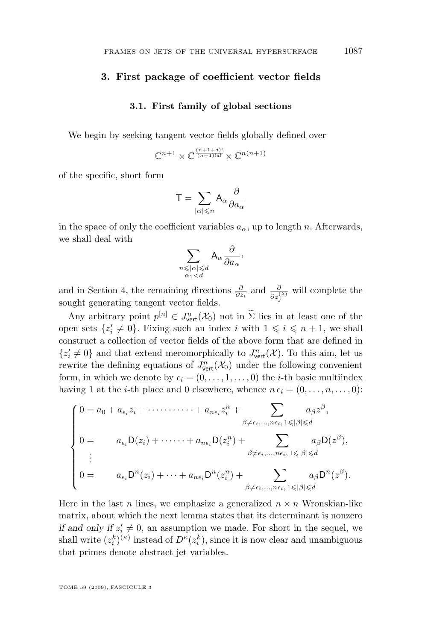#### **3. First package of coefficient vector fields**

#### **3.1. First family of global sections**

We begin by seeking tangent vector fields globally defined over

$$
\mathbb{C}^{n+1}\times \mathbb{C}^{\frac{(n+1+d)!}{(n+1)!d!}}\times \mathbb{C}^{n(n+1)}
$$

of the specific, short form

$$
\mathsf{T}=\sum_{|\alpha|\leqslant n}\mathsf{A}_{\alpha}\frac{\partial}{\partial a_{\alpha}}
$$

in the space of only the coefficient variables  $a_{\alpha}$ , up to length n. Afterwards, we shall deal with

$$
\sum_{\substack{n \leqslant |\alpha| \leqslant d \\ \alpha_1 < d}} \mathsf{A}_{\alpha} \frac{\partial}{\partial a_{\alpha}}
$$

,

and in Section 4, the remaining directions  $\frac{\partial}{\partial z_i}$  and  $\frac{\partial}{\partial z_j^{(\lambda)}}$  will complete the sought generating tangent vector fields.

Any arbitrary point  $p^{[n]} \in J^n_{\text{vert}}(\mathcal{X}_0)$  not in  $\Sigma$  lies in at least one of the open sets  $\{z_i' \neq 0\}$ . Fixing such an index i with  $1 \leq i \leq n+1$ , we shall construct a collection of vector fields of the above form that are defined in  $\{z_i' \neq 0\}$  and that extend meromorphically to  $J^n_{\text{vert}}(\mathcal{X})$ . To this aim, let us rewrite the defining equations of  $J^n_{\text{vert}}(\mathcal{X}_0)$  under the following convenient form, in which we denote by  $\epsilon_i = (0, \ldots, 1, \ldots, 0)$  the *i*-th basic multiindex having 1 at the *i*-th place and 0 elsewhere, whence  $n \epsilon_i = (0, \ldots, n, \ldots, 0)$ :

$$
\begin{cases}\n0 = a_0 + a_{\epsilon_i} z_i + \cdots + a_{n\epsilon_i} z_i^n + \sum_{\beta \neq \epsilon_i, ..., n\epsilon_i, 1 \leq |\beta| \leq d} a_{\beta} z^{\beta}, \\
0 = a_{\epsilon_i} D(z_i) + \cdots + a_{n\epsilon_i} D(z_i^n) + \sum_{\beta \neq \epsilon_i, ..., n\epsilon_i, 1 \leq |\beta| \leq d} a_{\beta} D(z^{\beta}), \\
\vdots \\
0 = a_{\epsilon_i} D^n(z_i) + \cdots + a_{n\epsilon_i} D^n(z_i^n) + \sum_{\beta \neq \epsilon_i, ..., n\epsilon_i, 1 \leq |\beta| \leq d} a_{\beta} D^n(z^{\beta}).\n\end{cases}
$$

Here in the last n lines, we emphasize a generalized  $n \times n$  Wronskian-like matrix, about which the next lemma states that its determinant is nonzero *if and only if*  $z'_i \neq 0$ , an assumption we made. For short in the sequel, we shall write  $(z_i^k)^{(\kappa)}$  instead of  $D^{\kappa}(z_i^k)$ , since it is now clear and unambiguous that primes denote abstract jet variables.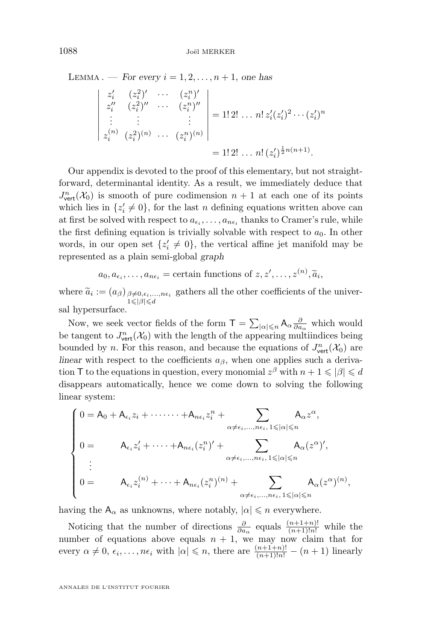LEMMA . — *For every*  $i = 1, 2, \ldots, n + 1$ , one has

$$
\begin{vmatrix} z'_i & (z_i^2)' & \cdots & (z_i^n)' \\ z''_i & (z_i^2)'' & \cdots & (z_i^n)'' \\ \vdots & \vdots & & \vdots \\ z_i^{(n)} & (z_i^2)^{(n)} & \cdots & (z_i^n)^{(n)} \end{vmatrix} = 1! \cdot 2! \cdot \cdot \cdot n! \cdot z'_i (z'_i)^2 \cdots (z'_i)^n
$$

$$
= 1! \cdot 2! \cdot \cdot \cdot n! \cdot (z'_i)^{\frac{1}{2}n(n+1)}.
$$

Our appendix is devoted to the proof of this elementary, but not straightforward, determinantal identity. As a result, we immediately deduce that  $J^n_{\text{vert}}(\mathcal{X}_0)$  is smooth of pure codimension  $n+1$  at each one of its points which lies in  $\{z_i' \neq 0\}$ , for the last n defining equations written above can at first be solved with respect to  $a_{\epsilon_i}, \ldots, a_{n\epsilon_i}$  thanks to Cramer's rule, while the first defining equation is trivially solvable with respect to  $a_0$ . In other words, in our open set  $\{z_i' \neq 0\}$ , the vertical affine jet manifold may be represented as a plain semi-global *graph*

 $a_0, a_{\epsilon_i}, \ldots, a_{n\epsilon_i}$  = certain functions of  $z, z', \ldots, z^{(n)}, \widetilde{a}_i$ ,

where  $\tilde{a}_i := (a_{\beta})_{\substack{\beta \neq 0, \epsilon_i, \dots, n\epsilon_i \\ 1 \leq \beta \leq d}}$  gathers all the other coefficients of the univer- $1 \leqslant |\beta| \leqslant d$ sal hypersurface.

Now, we seek vector fields of the form  $\mathsf{T} = \sum_{|\alpha| \leq n} \mathsf{A}_\alpha \frac{\partial}{\partial a_\alpha}$  which would be tangent to  $J^n_{\text{vert}}(\mathcal{X}_0)$  with the length of the appearing multiindices being bounded by *n*. For this reason, and because the equations of  $J^n_{\text{vert}}(\mathcal{X}_0)$  are *linear* with respect to the coefficients  $a_{\beta}$ , when one applies such a derivation T to the equations in question, every monomial  $z^{\beta}$  with  $n + 1 \leq \vert \beta \vert \leq d$ disappears automatically, hence we come down to solving the following linear system:

$$
\begin{cases}\n0 = A_0 + A_{\epsilon_i} z_i + \cdots + A_{n\epsilon_i} z_i^n + \sum_{\alpha \neq \epsilon_i, ..., n\epsilon_i, 1 \leq |\alpha| \leq n} A_{\alpha} z^{\alpha}, \\
0 = A_{\epsilon_i} z_i' + \cdots + A_{n\epsilon_i} (z_i^n)' + \sum_{\alpha \neq \epsilon_i, ..., n\epsilon_i, 1 \leq |\alpha| \leq n} A_{\alpha} (z^{\alpha})', \\
\vdots \\
0 = A_{\epsilon_i} z_i^{(n)} + \cdots + A_{n\epsilon_i} (z_i^n)^{(n)} + \sum_{\alpha \neq \epsilon_i, ..., n\epsilon_i, 1 \leq |\alpha| \leq n} A_{\alpha} (z^{\alpha})^{(n)},\n\end{cases}
$$

having the  $A_{\alpha}$  as unknowns, where notably,  $|\alpha| \leq n$  everywhere.

Noticing that the number of directions  $\frac{\partial}{\partial a_{\alpha}}$  equals  $\frac{(n+1+n)!}{(n+1)!n!}$  while the number of equations above equals  $n + 1$ , we may now claim that for every  $\alpha \neq 0, \epsilon_i, \ldots, n\epsilon_i$  with  $|\alpha| \leq n$ , there are  $\frac{(n+1+n)!}{(n+1)!n!} - (n+1)$  linearly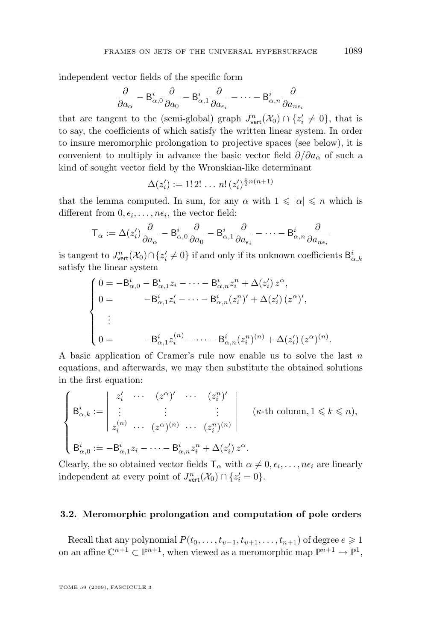independent vector fields of the specific form

$$
\frac{\partial}{\partial a_{\alpha}} - \mathsf{B}_{\alpha,0}^i \frac{\partial}{\partial a_0} - \mathsf{B}_{\alpha,1}^i \frac{\partial}{\partial a_{\epsilon_i}} - \dots - \mathsf{B}_{\alpha,n}^i \frac{\partial}{\partial a_{n\epsilon_i}}
$$

that are tangent to the (semi-global) graph  $J^n_{\text{vert}}(\mathcal{X}_0) \cap \{z'_i \neq 0\}$ , that is to say, the coefficients of which satisfy the written linear system. In order to insure meromorphic prolongation to projective spaces (see below), it is convenient to multiply in advance the basic vector field  $\partial/\partial a_{\alpha}$  of such a kind of sought vector field by the Wronskian-like determinant

$$
\Delta(z'_i) := 1! \, 2! \, \dots \, n! \, (z'_i)^{\frac{1}{2}n(n+1)}
$$

that the lemma computed. In sum, for any  $\alpha$  with  $1 \leq \alpha \leq n$  which is different from  $0, \epsilon_i, \ldots, n\epsilon_i$ , the vector field:

$$
\mathsf{T}_{\alpha} := \Delta(z_i') \frac{\partial}{\partial a_{\alpha}} - \mathsf{B}_{\alpha,0}^i \frac{\partial}{\partial a_0} - \mathsf{B}_{\alpha,1}^i \frac{\partial}{\partial a_{\epsilon_i}} - \cdots - \mathsf{B}_{\alpha,n}^i \frac{\partial}{\partial a_{n\epsilon_i}}
$$

is tangent to  $J^n_{\text{vert}}(\mathcal{X}_0) \cap \{z_i' \neq 0\}$  if and only if its unknown coefficients  $\mathsf{B}^i_{\alpha,k}$ satisfy the linear system

$$
\begin{cases}\n0 = -\mathsf{B}_{\alpha,0}^i - \mathsf{B}_{\alpha,1}^i z_i - \dots - \mathsf{B}_{\alpha,n}^i z_i^n + \Delta(z_i') z^{\alpha}, \\
0 = -\mathsf{B}_{\alpha,1}^i z_i' - \dots - \mathsf{B}_{\alpha,n}^i (z_i^n)' + \Delta(z_i') (z^{\alpha})', \\
\vdots \\
0 = -\mathsf{B}_{\alpha,1}^i z_i^{(n)} - \dots - \mathsf{B}_{\alpha,n}^i (z_i^n)^{(n)} + \Delta(z_i') (z^{\alpha})^{(n)}.\n\end{cases}
$$

A basic application of Cramer's rule now enable us to solve the last  $n$ equations, and afterwards, we may then substitute the obtained solutions in the first equation:

$$
\begin{cases}\n\mathsf{B}_{\alpha,k}^i := \begin{vmatrix}\nz_i' & \cdots & (z^{\alpha})' & \cdots & (z_i^n)'\n\vdots & \vdots & \vdots & \vdots \\
z_i^{(n)} & \cdots & (z^{\alpha})^{(n)} & \cdots & (z_i^n)^{(n)}\n\end{vmatrix}\n\end{cases} \quad (\kappa\text{-th column}, 1 \leq k \leq n),
$$
\n
$$
\mathsf{B}_{\alpha,0}^i := -\mathsf{B}_{\alpha,1}^i z_i - \cdots - \mathsf{B}_{\alpha,n}^i z_i^n + \Delta(z_i') z^{\alpha}.
$$

Clearly, the so obtained vector fields  $\mathsf{T}_{\alpha}$  with  $\alpha \neq 0, \epsilon_i, \ldots, n\epsilon_i$  are linearly independent at every point of  $J^n_{\text{vert}}(\mathcal{X}_0) \cap \{z_i' = 0\}.$ 

#### **3.2. Meromorphic prolongation and computation of pole orders**

Recall that any polynomial  $P(t_0, \ldots, t_{\nu-1}, t_{\nu+1}, \ldots, t_{n+1})$  of degree  $e \geq 1$ on an affine  $\mathbb{C}^{n+1} \subset \mathbb{P}^{n+1}$ , when viewed as a meromorphic map  $\mathbb{P}^{n+1} \to \mathbb{P}^1$ ,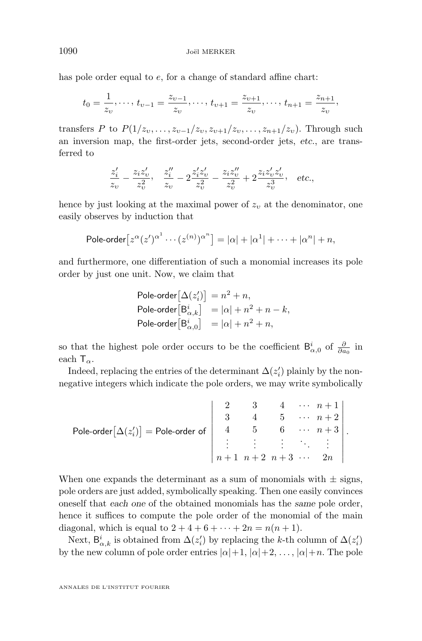has pole order equal to  $e$ , for a change of standard affine chart:

$$
t_0 = \frac{1}{z_v}, \dots, t_{v-1} = \frac{z_{v-1}}{z_v}, \dots, t_{v+1} = \frac{z_{v+1}}{z_v}, \dots, t_{n+1} = \frac{z_{n+1}}{z_v},
$$

transfers P to  $P(1/z_v, \ldots, z_{v-1}/z_v, z_{v+1}/z_v, \ldots, z_{n+1}/z_v)$ . Through such an inversion map, the first-order jets, second-order jets, *etc.*, are transferred to

$$
\frac{z_i'}{z_v} - \frac{z_i z_v'}{z_v^2}, \quad \frac{z_i''}{z_v} - 2\frac{z_i' z_v'}{z_v^2} - \frac{z_i z_v''}{z_v^2} + 2\frac{z_i z_v' z_v'}{z_v^3}, \quad \text{etc.,}
$$

hence by just looking at the maximal power of  $z_v$  at the denominator, one easily observes by induction that

Pole-order 
$$
[z^{\alpha}(z')^{\alpha^1} \cdots (z^{(n)})^{\alpha^n}] = |\alpha| + |\alpha^1| + \cdots + |\alpha^n| + n
$$
,

and furthermore, one differentiation of such a monomial increases its pole order by just one unit. Now, we claim that

$$
\begin{array}{ll} \mathsf{Pole-order}\big[\Delta(z'_i)\big]=n^2+n, \\ \mathsf{Pole-order}\big[\mathsf{B}_{\alpha,k}^i\big] &=|\alpha|+n^2+n-k, \\ \mathsf{Pole-order}\big[\mathsf{B}_{\alpha,0}^i\big] &=|\alpha|+n^2+n, \end{array}
$$

so that the highest pole order occurs to be the coefficient  $B_{\alpha,0}^i$  of  $\frac{\partial}{\partial a_0}$  in each  $T_{\alpha}$ .

Indeed, replacing the entries of the determinant  $\Delta(z_i')$  plainly by the nonnegative integers which indicate the pole orders, we may write symbolically

Pole-order 
$$
[\Delta(z'_i)]
$$
 = Pole-order of\n
$$
\begin{vmatrix}\n2 & 3 & 4 & \cdots & n+1 \\
3 & 4 & 5 & \cdots & n+2 \\
4 & 5 & 6 & \cdots & n+3 \\
\vdots & \vdots & \vdots & \ddots & \vdots \\
n+1 & n+2 & n+3 & \cdots & 2n\n\end{vmatrix}
$$

When one expands the determinant as a sum of monomials with  $\pm$  signs, pole orders are just added, symbolically speaking. Then one easily convinces oneself that *each one* of the obtained monomials has the *same* pole order, hence it suffices to compute the pole order of the monomial of the main diagonal, which is equal to  $2 + 4 + 6 + \cdots + 2n = n(n + 1)$ .

Next,  $\mathsf{B}_{\alpha,k}^i$  is obtained from  $\Delta(z_i')$  by replacing the k-th column of  $\Delta(z_i')$ by the new column of pole order entries  $|\alpha|+1, |\alpha|+2, \ldots, |\alpha|+n$ . The pole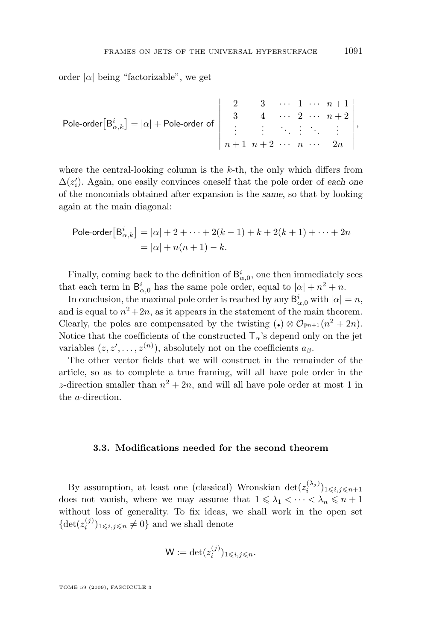order  $|\alpha|$  being "factorizable", we get

Pole-order 
$$
\left[B_{\alpha,k}^i\right] = |\alpha| + \text{Pole-order of}
$$

$$
\begin{vmatrix} 2 & 3 & \cdots & 1 & \cdots & n+1 \\ 3 & 4 & \cdots & 2 & \cdots & n+2 \\ \vdots & \vdots & \ddots & \vdots & \ddots & \vdots \\ n+1 & n+2 & \cdots & n & \cdots & 2n \end{vmatrix},
$$

where the central-looking column is the  $k$ -th, the only which differs from  $\Delta(z_i')$ . Again, one easily convinces oneself that the pole order of *each* one of the monomials obtained after expansion is the *same*, so that by looking again at the main diagonal:

Pole-order 
$$
[B^i_{\alpha,k}] = |\alpha| + 2 + \cdots + 2(k-1) + k + 2(k+1) + \cdots + 2n
$$
  
=  $|\alpha| + n(n+1) - k$ .

Finally, coming back to the definition of  $B^i_{\alpha,0}$ , one then immediately sees that each term in  $B_{\alpha,0}^i$  has the same pole order, equal to  $|\alpha| + n^2 + n$ .

In conclusion, the maximal pole order is reached by any  $B^i_{\alpha,0}$  with  $|\alpha|=n$ , and is equal to  $n^2+2n$ , as it appears in the statement of the main theorem. Clearly, the poles are compensated by the twisting  $(\bullet) \otimes \mathcal{O}_{\mathbb{P}^{n+1}}(n^2 + 2n)$ . Notice that the coefficients of the constructed  $T_{\alpha}$ 's depend only on the jet variables  $(z, z', \ldots, z^{(n)})$ , absolutely not on the coefficients  $a_{\beta}$ .

The other vector fields that we will construct in the remainder of the article, so as to complete a true framing, will all have pole order in the z-direction smaller than  $n^2 + 2n$ , and will all have pole order at most 1 in the a-direction.

#### **3.3. Modifications needed for the second theorem**

By assumption, at least one (classical) Wronskian  $\det(z_i^{(\lambda_j)})_{1\leqslant i,j\leqslant n+1}$ does not vanish, where we may assume that  $1 \leq \lambda_1 < \cdots < \lambda_n \leq n+1$ without loss of generality. To fix ideas, we shall work in the open set  $\{\det(z_i^{(j)})_{1\leq i,j\leq n}\neq 0\}$  and we shall denote

$$
\mathsf{W} := \det(z_i^{(j)})_{1 \leqslant i,j \leqslant n}.
$$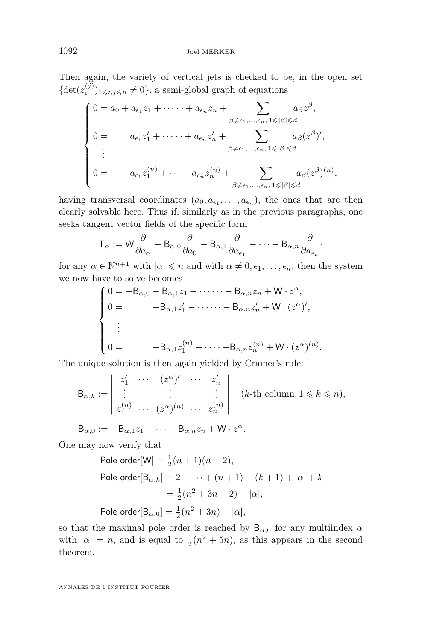Then again, the variety of vertical jets is checked to be, in the open set  $\{\det(z_i^{(j)})_{1\leq i,j\leq n}\neq 0\}$ , a semi-global graph of equations

$$
\begin{cases}\n0 = a_0 + a_{\epsilon_1} z_1 + \dots + a_{\epsilon_n} z_n + \sum_{\beta \neq \epsilon_1, \dots, \epsilon_n, 1 \leq |\beta| \leq d} a_{\beta} z^{\beta}, \\
0 = a_{\epsilon_1} z'_1 + \dots + a_{\epsilon_n} z'_n + \sum_{\beta \neq \epsilon_1, \dots, \epsilon_n, 1 \leq |\beta| \leq d} a_{\beta} (z^{\beta})', \\
\vdots \\
0 = a_{\epsilon_1} z_1^{(n)} + \dots + a_{\epsilon_n} z_n^{(n)} + \sum_{\beta \neq \epsilon_1, \dots, \epsilon_n, 1 \leq |\beta| \leq d} a_{\beta} (z^{\beta})^{(n)},\n\end{cases}
$$

having transversal coordinates  $(a_0, a_{\epsilon_1},..., a_{\epsilon_n})$ , the ones that are then clearly solvable here. Thus if, similarly as in the previous paragraphs, one seeks tangent vector fields of the specific form

$$
T_\alpha:=W\frac{\partial}{\partial a_\alpha}-B_{\alpha,0}\frac{\partial}{\partial a_0}-B_{\alpha,1}\frac{\partial}{\partial a_{\varepsilon_1}}-\cdots-B_{\alpha,n}\frac{\partial}{\partial a_{\varepsilon_n}},
$$

for any  $\alpha \in \mathbb{N}^{n+1}$  with  $|\alpha| \leq n$  and with  $\alpha \neq 0, \epsilon_1, \ldots, \epsilon_n$ , then the system we now have to solve becomes

$$
\begin{cases}\n0 = -\mathsf{B}_{\alpha,0} - \mathsf{B}_{\alpha,1}z_1 - \cdots - \mathsf{B}_{\alpha,n}z_n + \mathsf{W} \cdot z^{\alpha}, \\
0 = -\mathsf{B}_{\alpha,1}z'_1 - \cdots - \mathsf{B}_{\alpha,n}z'_n + \mathsf{W} \cdot (z^{\alpha})', \\
\vdots \\
0 = -\mathsf{B}_{\alpha,1}z_1^{(n)} - \cdots - \mathsf{B}_{\alpha,n}z_n^{(n)} + \mathsf{W} \cdot (z^{\alpha})^{(n)}.\n\end{cases}
$$

The unique solution is then again yielded by Cramer's rule:

$$
\mathsf{B}_{\alpha,k} := \left| \begin{array}{cccc} z_1' & \cdots & (z^{\alpha})' & \cdots & z_n' \\ \vdots & \vdots & \ddots & \vdots \\ z_1^{(n)} & \cdots & (z^{\alpha})^{(n)} & \cdots & z_n^{(n)} \end{array} \right| \quad (k\text{-th column}, 1 \leqslant k \leqslant n),
$$

 $B_{\alpha,0} := -B_{\alpha,1}z_1 - \cdots - B_{\alpha,n}z_n + W \cdot z^{\alpha}.$ 

One may now verify that

Pole order[M] = 
$$
\frac{1}{2}(n + 1)(n + 2)
$$
,  
\nPole order[B <sub>$\alpha, k$</sub> ] = 2 + ··· + (n + 1) – (k + 1) +  $|\alpha|$  + k  
\n=  $\frac{1}{2}(n^2 + 3n - 2) + |\alpha|$ ,  
\nPole order[B <sub>$\alpha, 0$</sub> ] =  $\frac{1}{2}(n^2 + 3n) + |\alpha|$ ,

so that the maximal pole order is reached by  $B_{\alpha,0}$  for any multiindex  $\alpha$ with  $|\alpha| = n$ , and is equal to  $\frac{1}{2}(n^2 + 5n)$ , as this appears in the second theorem.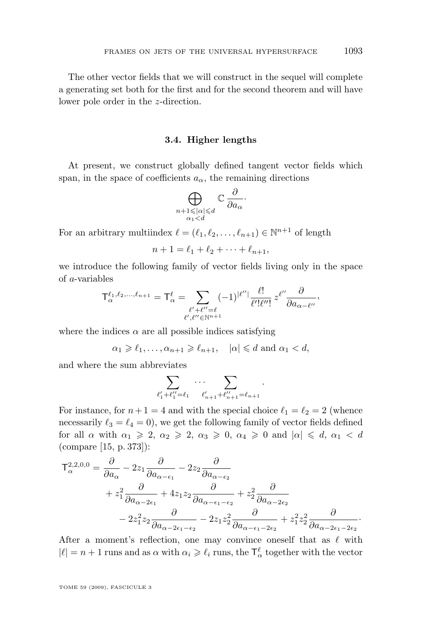The other vector fields that we will construct in the sequel will complete a generating set both for the first and for the second theorem and will have lower pole order in the z-direction.

#### **3.4. Higher lengths**

At present, we construct globally defined tangent vector fields which span, in the space of coefficients  $a_{\alpha}$ , the remaining directions

$$
\bigoplus_{\substack{n+1 \leqslant |\alpha| \leqslant d \\ \alpha_1 < d}} \mathbb{C} \frac{\partial}{\partial a_{\alpha}} \cdot
$$

For an arbitrary multiindex  $\ell = (\ell_1, \ell_2, \ldots, \ell_{n+1}) \in \mathbb{N}^{n+1}$  of length

$$
n + 1 = \ell_1 + \ell_2 + \dots + \ell_{n+1},
$$

we introduce the following family of vector fields living only in the space of a-variables  $\ddot{\phantom{a}}$ 

$$
\mathsf{T}_{\alpha}^{\ell_1,\ell_2,\ldots,\ell_{n+1}} = \mathsf{T}_{\alpha}^{\ell} = \sum_{\substack{\ell'+\ell''=\ell \\ \ell',\ell''\in\mathbb{N}^{n+1}}} (-1)^{|\ell''|} \frac{\ell!}{\ell'! \ell''!} z^{\ell''} \frac{\partial}{\partial a_{\alpha-\ell''}},
$$

where the indices  $\alpha$  are all possible indices satisfying

 $\alpha_1 \geq \ell_1, \ldots, \alpha_{n+1} \geq \ell_{n+1}, \quad |\alpha| \leq d \text{ and } \alpha_1 < d,$ 

and where the sum abbreviates

$$
\sum_{\ell'_1+\ell''_1=\ell_1}\cdots\sum_{\ell'_{n+1}+\ell''_{n+1}=\ell_{n+1}}.
$$

For instance, for  $n + 1 = 4$  and with the special choice  $\ell_1 = \ell_2 = 2$  (whence necessarily  $\ell_3 = \ell_4 = 0$ , we get the following family of vector fields defined for all  $\alpha$  with  $\alpha_1 \geq 2$ ,  $\alpha_2 \geq 2$ ,  $\alpha_3 \geq 0$ ,  $\alpha_4 \geq 0$  and  $|\alpha| \leq d$ ,  $\alpha_1 < d$ (compare [\[15,](#page-28-0) p. 373]):

$$
T_{\alpha}^{2,2,0,0} = \frac{\partial}{\partial a_{\alpha}} - 2z_1 \frac{\partial}{\partial a_{\alpha - \epsilon_1}} - 2z_2 \frac{\partial}{\partial a_{\alpha - \epsilon_2}} + z_1^2 \frac{\partial}{\partial a_{\alpha - 2\epsilon_1}} + 4z_1 z_2 \frac{\partial}{\partial a_{\alpha - \epsilon_1 - \epsilon_2}} + z_2^2 \frac{\partial}{\partial a_{\alpha - 2\epsilon_2}} - 2z_1^2 z_2 \frac{\partial}{\partial a_{\alpha - 2\epsilon_1 - \epsilon_2}} - 2z_1 z_2^2 \frac{\partial}{\partial a_{\alpha - \epsilon_1 - 2\epsilon_2}} + z_1^2 z_2^2 \frac{\partial}{\partial a_{\alpha - 2\epsilon_1 - 2\epsilon_2}}.
$$

After a moment's reflection, one may convince oneself that as  $\ell$  with  $|\ell| = n + 1$  runs and as  $\alpha$  with  $\alpha_i \geqslant \ell_i$  runs, the  $\mathsf{T}^\ell_\alpha$  together with the vector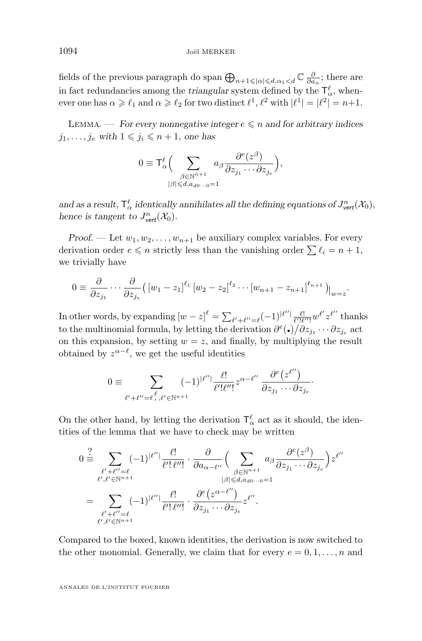fields of the previous paragraph do span  $\bigoplus_{n+1 \leqslant |\alpha| \leqslant d, \alpha_1 < d} \mathbb{C} \frac{\partial}{\partial a_{\alpha}}$ ; there are in fact redundancies among the *triangular* system defined by the  $\mathsf{T}_{\alpha}^{\ell}$ , whenever one has  $\alpha \geqslant \ell_1$  and  $\alpha \geqslant \ell_2$  for two distinct  $\ell^1$ ,  $\ell^2$  with  $|\ell^1| = |\ell^2| = n+1$ .

LEMMA. — *For every nonnegative integer*  $e \leq n$  *and for arbitrary indices*  $j_1, \ldots, j_e$  with  $1 \leq j_i \leq n+1$ , one has

$$
0 \equiv \mathsf{T}_{\alpha}^{\ell} \Big( \sum_{\substack{\beta \in \mathbb{N}^{n+1} \\|\beta| \leq d, a_{d0} \ldots 0 = 1}} a_{\beta} \frac{\partial^{e}(z^{\beta})}{\partial z_{j_{1}} \cdots \partial z_{j_{e}}}\Big),
$$

and as a result,  $T^{\ell}_{\alpha}$  *identically annihilates all the defining equations of*  $J^n_{\text{vert}}(\mathcal{X}_0)$ *, hence is tangent to*  $J^n_{\text{vert}}(\mathcal{X}_0)$ .

*Proof.* — Let  $w_1, w_2, \ldots, w_{n+1}$  be auxiliary complex variables. For every derivation order  $e \leq n$  strictly less than the vanishing order  $\sum \ell_i = n + 1$ , we trivially have

$$
0 \equiv \frac{\partial}{\partial z_{j_1}} \cdots \frac{\partial}{\partial z_{j_e}} (\left[ w_1 - z_1 \right]^{\ell_1} \left[ w_2 - z_2 \right]^{\ell_2} \cdots \left[ w_{n+1} - z_{n+1} \right]^{\ell_{n+1}}) \Big|_{w=z}.
$$

In other words, by expanding  $[w-z]^{\ell} = \sum_{\ell'+\ell''=\ell} (-1)^{|\ell''|} \frac{\ell!}{\ell'! \ell''!} w^{\ell'} z^{\ell''}$  thanks to the multinomial formula, by letting the derivation  $\partial^e(\bullet)/\partial z_{j_1}\cdots\partial z_{j_e}$  act on this expansion, by setting  $w = z$ , and finally, by multiplying the result obtained by  $z^{\alpha-\ell}$ , we get the useful identities

$$
0 \equiv \sum_{\ell'+\ell''=\ell',\ell'\in\mathbb{N}^{n+1}} (-1)^{|\ell''|} \frac{\ell!}{\ell'! \ell''!} z^{\alpha-\ell''} \frac{\partial^e(z^{\ell''})}{\partial z_{j_1}\cdots \partial z_{j_e}}.
$$

On the other hand, by letting the derivation  $\mathsf{T}^\ell_\alpha$  act as it should, the identities of the lemma that we have to check may be written

$$
0 \stackrel{?}{=} \sum_{\substack{\ell' + \ell'' = \ell \\ \ell', \ell' \in \mathbb{N}^{n+1}}} (-1)^{|\ell''|} \frac{\ell!}{\ell'! \ell''!} \cdot \frac{\partial}{\partial a_{\alpha - \ell''}} \Big( \sum_{\substack{\beta \in \mathbb{N}^{n+1} \\ |\beta| \le d, a_{d0} \dots 0 = 1}} a_{\beta} \frac{\partial^e(z^{\beta})}{\partial z_{j_1} \dots \partial z_{j_e}} \Big) z^{\ell''}
$$

$$
= \sum_{\substack{\ell' + \ell'' = \ell \\ \ell', \ell' \in \mathbb{N}^{n+1}}} (-1)^{|\ell''|} \frac{\ell!}{\ell'! \ell''!} \cdot \frac{\partial^e(z^{\alpha - \ell''})}{\partial z_{j_1} \dots \partial z_{j_e}} z^{\ell''}.
$$

Compared to the boxed, known identities, the derivation is now switched to the other monomial. Generally, we claim that for every  $e = 0, 1, \ldots, n$  and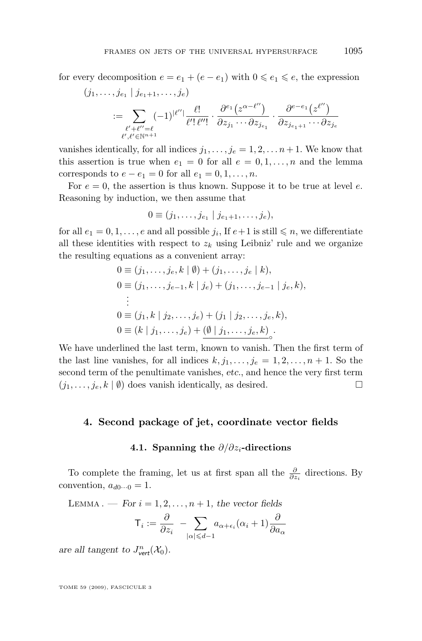for every decomposition  $e = e_1 + (e - e_1)$  with  $0 \le e_1 \le e$ , the expression

$$
(j_1,\ldots,j_{e_1} \mid j_{e_1+1},\ldots,j_e)
$$
  

$$
:= \sum_{\substack{\ell'+\ell''=\ell\\ \ell',\ell'\in\mathbb{N}^{n+1}}} (-1)^{|\ell''|} \frac{\ell!}{\ell'! \ell''!} \cdot \frac{\partial^{e_1}(z^{\alpha-\ell''})}{\partial z_{j_1}\cdots \partial z_{j_{e_1}}} \cdot \frac{\partial^{e-e_1}(z^{\ell''})}{\partial z_{j_{e_1+1}}\cdots \partial z_{j_e}}
$$

vanishes identically, for all indices  $j_1, \ldots, j_e = 1, 2, \ldots n+1$ . We know that this assertion is true when  $e_1 = 0$  for all  $e = 0, 1, \ldots, n$  and the lemma corresponds to  $e - e_1 = 0$  for all  $e_1 = 0, 1, \ldots, n$ .

For  $e = 0$ , the assertion is thus known. Suppose it to be true at level  $e$ . Reasoning by induction, we then assume that

$$
0 \equiv (j_1, \ldots, j_{e_1} \mid j_{e_1+1}, \ldots, j_e),
$$

for all  $e_1 = 0, 1, \ldots, e$  and all possible  $j_i$ , If  $e + 1$  is still  $\leq n$ , we differentiate all these identities with respect to  $z_k$  using Leibniz' rule and we organize the resulting equations as a convenient array:

$$
0 \equiv (j_1, \ldots, j_e, k \mid \emptyset) + (j_1, \ldots, j_e \mid k),
$$
  
\n
$$
0 \equiv (j_1, \ldots, j_{e-1}, k \mid j_e) + (j_1, \ldots, j_{e-1} \mid j_e, k),
$$
  
\n
$$
\vdots
$$
  
\n
$$
0 \equiv (j_1, k \mid j_2, \ldots, j_e) + (j_1 \mid j_2, \ldots, j_e, k),
$$
  
\n
$$
0 \equiv (k \mid j_1, \ldots, j_e) + \underbrace{(\emptyset \mid j_1, \ldots, j_e, k)}_{\circ}.
$$

We have underlined the last term, known to vanish. Then the first term of the last line vanishes, for all indices  $k, j_1, \ldots, j_e = 1, 2, \ldots, n + 1$ . So the second term of the penultimate vanishes, *etc.*, and hence the very first term  $(j_1, \ldots, j_e, k \mid \emptyset)$  does vanish identically, as desired.

#### **4. Second package of jet, coordinate vector fields**

#### **4.1. Spanning the** ∂/∂zi**-directions**

To complete the framing, let us at first span all the  $\frac{\partial}{\partial z_i}$  directions. By convention,  $a_{d0\cdots 0} = 1$ .

LEMMA . — *For*  $i = 1, 2, ..., n + 1$ , the vector fields

$$
\mathsf{T}_i := \frac{\partial}{\partial z_i} - \sum_{|\alpha| \leq d-1} a_{\alpha + \epsilon_i} (\alpha_i + 1) \frac{\partial}{\partial a_{\alpha}}
$$

are all tangent to  $J^n_{\text{vert}}(\mathcal{X}_0)$ .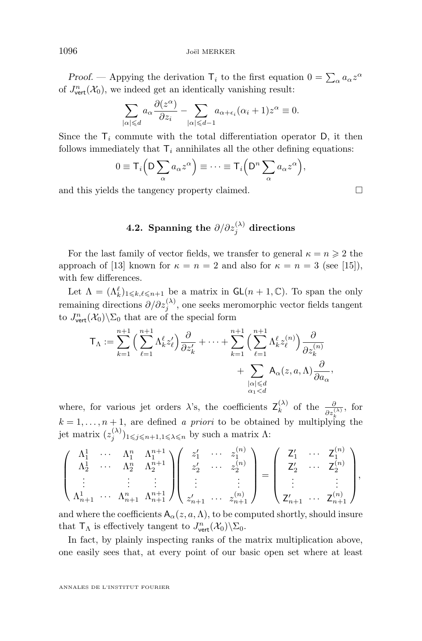*Proof.* — Appying the derivation  $\mathsf{T}_i$  to the first equation  $0 = \sum_{\alpha} a_{\alpha} z^{\alpha}$ of  $J^n_{\text{vert}}(\mathcal{X}_0)$ , we indeed get an identically vanishing result:

$$
\sum_{|\alpha| \leq d} a_{\alpha} \frac{\partial(z^{\alpha})}{\partial z_i} - \sum_{|\alpha| \leq d-1} a_{\alpha + \epsilon_i} (\alpha_i + 1) z^{\alpha} \equiv 0.
$$

Since the  $T_i$  commute with the total differentiation operator D, it then follows immediately that  $\mathsf{T}_i$  annihilates all the other defining equations:

$$
0 \equiv \mathsf{T}_i\left(\mathsf{D}\sum_{\alpha} a_{\alpha} z^{\alpha}\right) \equiv \cdots \equiv \mathsf{T}_i\left(\mathsf{D}^n \sum_{\alpha} a_{\alpha} z^{\alpha}\right),
$$

and this yields the tangency property claimed.  $\square$ 

 $4.2.$  Spanning the  $\partial/\partial z^{(\lambda)}_j$  directions

For the last family of vector fields, we transfer to general  $\kappa = n \geq 2$  the approach of [\[13\]](#page-28-0) known for  $\kappa = n = 2$  and also for  $\kappa = n = 3$  (see [\[15\]](#page-28-0)), with few differences.

Let  $\Lambda = (\Lambda_k^{\ell})_{1 \leq k,\ell \leq n+1}$  be a matrix in  $\mathsf{GL}(n+1,\mathbb{C})$ . To span the only remaining directions  $\partial/\partial z_j^{(\lambda)}$ , one seeks meromorphic vector fields tangent to  $J^n_{\text{vert}}(\mathcal{X}_0)\backslash \Sigma_0$  that are of the special form

$$
\mathsf{T}_{\Lambda} := \sum_{k=1}^{n+1} \Big( \sum_{\ell=1}^{n+1} \Lambda_k^{\ell} z_{\ell}' \Big) \frac{\partial}{\partial z_{k}'} + \cdots + \sum_{k=1}^{n+1} \Big( \sum_{\ell=1}^{n+1} \Lambda_k^{\ell} z_{\ell}^{(n)} \Big) \frac{\partial}{\partial z_{k}^{(n)}} + \sum_{\substack{|\alpha| \leq d \\ \alpha_1 < d}} \mathsf{A}_{\alpha}(z, a, \Lambda) \frac{\partial}{\partial a_{\alpha}},
$$

where, for various jet orders  $\lambda$ 's, the coefficients  $\mathsf{Z}_{k}^{(\lambda)}$  $\frac{\partial}{\partial k}$  of the  $\frac{\partial}{\partial z_k^{(\lambda)}}$ , for  $k = 1, \ldots, n + 1$ , are defined *a priori* to be obtained by multiplying the jet matrix  $(z_j^{(\lambda)})_{1 \leqslant j \leqslant n+1, 1 \leqslant \lambda \leqslant n}$  by such a matrix  $\Lambda$ :

$$
\begin{pmatrix}\n\Lambda_1^1 & \cdots & \Lambda_1^n & \Lambda_1^{n+1} \\
\Lambda_2^1 & \cdots & \Lambda_2^n & \Lambda_2^{n+1} \\
\vdots & \vdots & \vdots & \vdots \\
\Lambda_{n+1}^1 & \cdots & \Lambda_{n+1}^n & \Lambda_{n+1}^{n+1}\n\end{pmatrix}\n\begin{pmatrix}\nz'_1 & \cdots & z_1^{(n)} \\
z'_2 & \cdots & z_2^{(n)} \\
\vdots & \vdots & \vdots \\
z'_{n+1} & \cdots & z_{n+1}^{(n)}\n\end{pmatrix}\n=\n\begin{pmatrix}\nZ'_1 & \cdots & Z_1^{(n)} \\
Z'_2 & \cdots & Z_2^{(n)} \\
\vdots & \vdots \\
Z'_{n+1} & \cdots & Z_{n+1}^{(n)}\n\end{pmatrix},
$$

and where the coefficients  $A_{\alpha}(z, a, \Lambda)$ , to be computed shortly, should insure that  $\mathsf{T}_{\Lambda}$  is effectively tangent to  $J^n_{\text{vert}}(\mathcal{X}_0)\backslash \Sigma_0$ .

In fact, by plainly inspecting ranks of the matrix multiplication above, one easily sees that, at every point of our basic open set where at least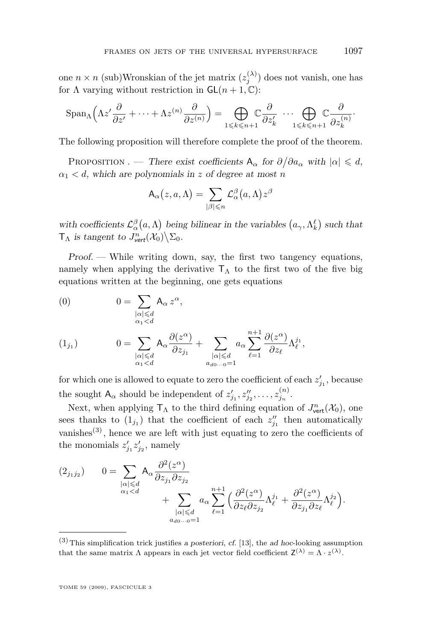one  $n \times n$  (sub)Wronskian of the jet matrix  $(z_j^{(\lambda)})$  does not vanish, one has for  $\Lambda$  varying without restriction in  $GL(n+1,\mathbb{C})$ :

$$
\operatorname{Span}_{\Lambda}\left(\Lambda z^{\prime} \frac{\partial}{\partial z^{\prime}} + \cdots + \Lambda z^{(n)} \frac{\partial}{\partial z^{(n)}}\right) = \bigoplus_{1 \leq k \leq n+1} \mathbb{C} \frac{\partial}{\partial z^{\prime}_{k}} \cdots \bigoplus_{1 \leq k \leq n+1} \mathbb{C} \frac{\partial}{\partial z^{\prime n}_{k}}.
$$

The following proposition will therefore complete the proof of the theorem.

PROPOSITION . — *There exist coefficients*  $A_{\alpha}$  *for*  $\partial/\partial a_{\alpha}$  *with*  $|\alpha| \leq d$ ,  $\alpha_1 < d$ , which are polynomials in z of degree at most n

$$
\mathsf{A}_\alpha\bigl(z,a,\Lambda\bigr)=\sum_{|\beta|\leqslant n}\mathcal{L}^\beta_\alpha\bigl(a,\Lambda\bigr)z^\beta
$$

with coefficients  $\mathcal{L}_{\alpha}^{\beta}(a,\Lambda)$  being bilinear in the variables  $(a_{\gamma},\Lambda_{k}^{\ell})$  such that  $\mathsf{T}_{\Lambda}$  is tangent to  $J^n_{\text{vert}}(\mathcal{X}_0) \backslash \Sigma_0$ .

*Proof.* — While writing down, say, the first two tangency equations, namely when applying the derivative  $T_A$  to the first two of the five big equations written at the beginning, one gets equations

$$
(0) \t\t 0 = \sum_{\substack{|\alpha| \le d \\ \alpha_1 < d}} A_{\alpha} z^{\alpha},
$$

$$
(1_{j_1}) \t 0 = \sum_{\substack{|\alpha| \le d \\ \alpha_1 < d}} A_{\alpha} \frac{\partial(z^{\alpha})}{\partial z_{j_1}} + \sum_{\substack{|\alpha| \le d \\ a_{d0\cdots 0} = 1}} a_{\alpha} \sum_{\ell=1}^{n+1} \frac{\partial(z^{\alpha})}{\partial z_{\ell}} \Lambda_{\ell}^{j_1},
$$

for which one is allowed to equate to zero the coefficient of each  $z'_{j_1}$ , because the sought  $A_{\alpha}$  should be independent of  $z'_{j_1}, z''_{j_2}, \ldots, z^{(n)}_{j_n}$ .

Next, when applying  $\mathsf{T}_{\Lambda}$  to the third defining equation of  $J^n_{\text{vert}}(\mathcal{X}_0)$ , one sees thanks to  $(1_{j_1})$  that the coefficient of each  $z''_{j_1}$  then automatically vanishes<sup> $(3)$ </sup>, hence we are left with just equating to zero the coefficients of the monomials  $z'_{j_1} z'_{j_2}$ , namely

$$
(2_{j_1j_2}) \t 0 = \sum_{\substack{|\alpha| \le d \\ \alpha_1 < d}} A_{\alpha} \frac{\partial^2(z^{\alpha})}{\partial z_{j_1} \partial z_{j_2}} + \sum_{\substack{|\alpha| \le d \\ a_{d0} \ldots 0 = 1}} a_{\alpha} \sum_{\ell=1}^{n+1} \Big( \frac{\partial^2(z^{\alpha})}{\partial z_{\ell} \partial z_{j_2}} \Lambda_{\ell}^{j_1} + \frac{\partial^2(z^{\alpha})}{\partial z_{j_1} \partial z_{\ell}} \Lambda_{\ell}^{j_2} \Big).
$$

<sup>(3)</sup>This simplification trick justifies *a posteriori*, *cf.* [\[13\]](#page-28-0), the *ad hoc*-looking assumption that the same matrix  $\Lambda$  appears in each jet vector field coefficient  $\mathsf{Z}^{(\lambda)} = \Lambda \cdot z^{(\lambda)}$ .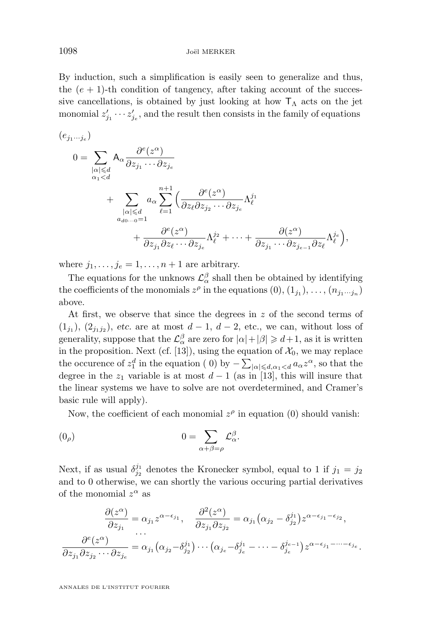By induction, such a simplification is easily seen to generalize and thus, the  $(e + 1)$ -th condition of tangency, after taking account of the successive cancellations, is obtained by just looking at how  $T_A$  acts on the jet monomial  $z'_{j_1} \cdots z'_{j_e}$ , and the result then consists in the family of equations

$$
(e_{j_1\cdots j_e})
$$
\n
$$
0 = \sum_{\substack{|\alpha| \leq d \\ \alpha_1 < d}} A_{\alpha} \frac{\partial^e(z^{\alpha})}{\partial z_{j_1} \cdots \partial z_{j_e}}
$$
\n
$$
+ \sum_{\substack{|\alpha| \leq d \\ \alpha_{d0\cdots 0} = 1}} a_{\alpha} \sum_{\ell=1}^{n+1} \left( \frac{\partial^e(z^{\alpha})}{\partial z_{\ell} \partial z_{j_2} \cdots \partial z_{j_e}} \Lambda_{\ell}^{j_1} + \frac{\partial^e(z^{\alpha})}{\partial z_{j_1} \partial z_{\ell} \cdots \partial z_{j_e}} \Lambda_{\ell}^{j_2} + \cdots + \frac{\partial(z^{\alpha})}{\partial z_{j_1} \cdots \partial z_{j_{e-1}} \partial z_{\ell}} \Lambda_{\ell}^{j_e} \right),
$$

where  $j_1, \ldots, j_e = 1, \ldots, n+1$  are arbitrary.

The equations for the unknows  $\mathcal{L}_{\alpha}^{\beta}$  shall then be obtained by identifying the coefficients of the monomials  $z^{\rho}$  in the equations  $(0), (1_{j_1}), \ldots, (n_{j_1\cdots j_n})$ above.

At first, we observe that since the degrees in z of the second terms of  $(1_{j_1}), (2_{j_1j_2}),$  *etc.* are at most  $d-1, d-2$ , *etc.*, we can, without loss of generality, suppose that the  $\mathcal{L}_{\alpha}^{\beta}$  are zero for  $|\alpha| + |\beta| \geq d+1$ , as it is written in the proposition. Next (cf. [\[13\]](#page-28-0)), using the equation of  $\mathcal{X}_0$ , we may replace the occurence of  $z_1^d$  in the equation (0) by  $-\sum_{|\alpha| \leq d, \alpha_1 < d} a_\alpha z^\alpha$ , so that the degree in the  $z_1$  variable is at most  $d-1$  (as in [\[13\]](#page-28-0), this will insure that the linear systems we have to solve are not overdetermined, and Cramer's basic rule will apply).

Now, the coefficient of each monomial  $z^{\rho}$  in equation (0) should vanish:

$$
(0_{\rho}) \t\t 0 = \sum_{\alpha + \beta = \rho} \mathcal{L}_{\alpha}^{\beta}.
$$

Next, if as usual  $\delta_{j_2}^{j_1}$  denotes the Kronecker symbol, equal to 1 if  $j_1 = j_2$ and to 0 otherwise, we can shortly the various occuring partial derivatives of the monomial  $z^{\alpha}$  as

$$
\frac{\partial(z^{\alpha})}{\partial z_{j_1}} = \alpha_{j_1} z^{\alpha - \epsilon_{j_1}}, \quad \frac{\partial^2(z^{\alpha})}{\partial z_{j_1} \partial z_{j_2}} = \alpha_{j_1} (\alpha_{j_2} - \delta_{j_2}^{j_1}) z^{\alpha - \epsilon_{j_1} - \epsilon_{j_2}},
$$

$$
\frac{\partial^{\epsilon}(z^{\alpha})}{\partial z_{j_1} \partial z_{j_2} \cdots \partial z_{j_e}} = \alpha_{j_1} (\alpha_{j_2} - \delta_{j_2}^{j_1}) \cdots (\alpha_{j_e} - \delta_{j_e}^{j_1} - \cdots - \delta_{j_e}^{j_{e-1}}) z^{\alpha - \epsilon_{j_1} - \cdots - \epsilon_{j_e}}.
$$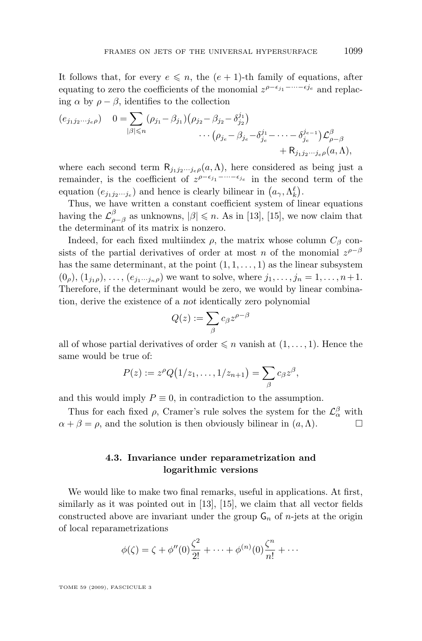It follows that, for every  $e \leq n$ , the  $(e + 1)$ -th family of equations, after equating to zero the coefficients of the monomial  $z^{\rho-\epsilon_{j_1}-\cdots-\epsilon_{j_e}}$  and replacing  $\alpha$  by  $\rho - \beta$ , identifies to the collection

$$
(e_{j_1j_2\cdots j_e\rho}) \quad 0 = \sum_{|\beta| \le n} (\rho_{j_1} - \beta_{j_1}) (\rho_{j_2} - \beta_{j_2} - \delta_{j_2}^{j_1}) \n\cdots (\rho_{j_e} - \beta_{j_e} - \delta_{j_e}^{j_1} - \cdots - \delta_{j_e}^{j_{e-1}}) \mathcal{L}^{\beta}_{\rho-\beta} \n+ R_{j_1j_2\cdots j_e\rho}(\alpha,\Lambda),
$$

where each second term  $\mathsf{R}_{j_1j_2\cdots j_e\rho}(a,\Lambda)$ , here considered as being just a remainder, is the coefficient of  $z^{\rho-\epsilon_{j_1}-\cdots-\epsilon_{j_e}}$  in the second term of the equation  $(e_{j_1j_2\cdots j_e})$  and hence is clearly bilinear in  $(a_\gamma, \Lambda_k^{\ell})$ .

Thus, we have written a constant coefficient system of linear equations having the  $\mathcal{L}^{\beta}_{\rho-\beta}$  as unknowns,  $|\beta| \leq n$ . As in [\[13\]](#page-28-0), [\[15\]](#page-28-0), we now claim that the determinant of its matrix is nonzero.

Indeed, for each fixed multiindex  $\rho$ , the matrix whose column  $C_{\beta}$  consists of the partial derivatives of order at most n of the monomial  $z^{\rho-\beta}$ has the same determinant, at the point  $(1, 1, \ldots, 1)$  as the linear subsystem  $(0_{\rho}), (1_{j_1\rho}), \ldots, (e_{j_1\cdots j_n\rho})$  we want to solve, where  $j_1, \ldots, j_n = 1, \ldots, n+1$ . Therefore, if the determinant would be zero, we would by linear combination, derive the existence of a *not* identically zero polynomial

$$
Q(z):=\sum_\beta c_\beta z^{\rho-\beta}
$$

all of whose partial derivatives of order  $\leqslant n$  vanish at  $(1, \ldots, 1)$ . Hence the same would be true of:

$$
P(z) := z^{\rho} Q\big(1/z_1, \ldots, 1/z_{n+1}\big) = \sum_{\beta} c_{\beta} z^{\beta},
$$

and this would imply  $P \equiv 0$ , in contradiction to the assumption.

Thus for each fixed  $\rho$ , Cramer's rule solves the system for the  $\mathcal{L}_{\alpha}^{\beta}$  with  $\alpha + \beta = \rho$ , and the solution is then obviously bilinear in  $(a, \Lambda)$ .

#### **4.3. Invariance under reparametrization and logarithmic versions**

We would like to make two final remarks, useful in applications. At first, similarly as it was pointed out in [\[13\]](#page-28-0), [\[15\]](#page-28-0), we claim that all vector fields constructed above are invariant under the group  $\mathsf{G}_n$  of *n*-jets at the origin of local reparametrizations

$$
\phi(\zeta) = \zeta + \phi''(0)\frac{\zeta^2}{2!} + \dots + \phi^{(n)}(0)\frac{\zeta^n}{n!} + \dots
$$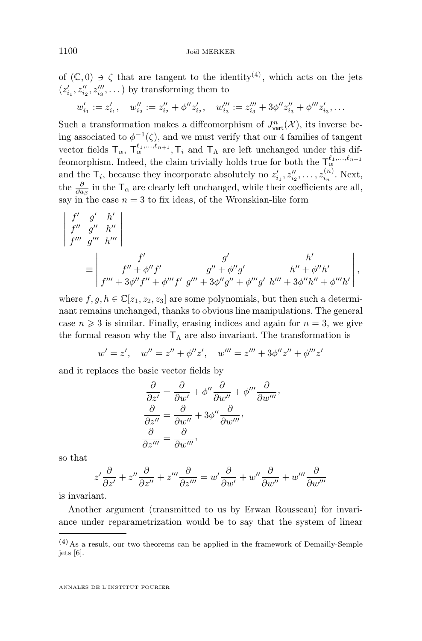of  $(\mathbb{C},0) \ni \zeta$  that are tangent to the identity<sup>(4)</sup>, which acts on the jets  $(z'_{i_1}, z''_{i_2}, z'''_{i_3}, \dots)$  by transforming them to

$$
w'_{i_1} := z'_{i_1}, \quad w''_{i_2} := z''_{i_2} + \phi'' z'_{i_2}, \quad w'''_{i_3} := z'''_{i_3} + 3\phi'' z''_{i_3} + \phi''' z'_{i_3}, \dots
$$

Such a transformation makes a diffeomorphism of  $J^n_{\text{vert}}(\mathcal{X})$ , its inverse being associated to  $\phi^{-1}(\zeta)$ , and we must verify that our 4 families of tangent vector fields  $T_{\alpha}$ ,  $T_{\alpha}^{\ell_1,...,\ell_{n+1}}$ ,  $T_i$  and  $T_{\Lambda}$  are left unchanged under this diffeomorphism. Indeed, the claim trivially holds true for both the  $\mathsf{T}_{\alpha}^{\ell_1,\ldots,\ell_{n+1}}$ and the  $\mathsf{T}_i$ , because they incorporate absolutely no  $z'_{i_1}, z''_{i_2}, \ldots, z^{(n)}_{i_n}$ . Next, the  $\frac{\partial}{\partial a_{\beta}}$  in the  $T_{\alpha}$  are clearly left unchanged, while their coefficients are all, say in the case  $n = 3$  to fix ideas, of the Wronskian-like form

$$
\begin{vmatrix} f' & g' & h' \\ f'' & g'' & h''' \\ f'''' & g''' & h''' \end{vmatrix}
$$
  
\n
$$
\equiv \begin{vmatrix} f' & g' & h' \\ f'' + \phi'' f' & g'' + \phi'' g' & h'' + \phi'' h' \\ f''' + 3\phi'' f'' + \phi''' f' & g''' + 3\phi'' g'' + \phi''' g' & h''' + 3\phi'' h'' + \phi''' h' \end{vmatrix},
$$

where  $f, g, h \in \mathbb{C}[z_1, z_2, z_3]$  are some polynomials, but then such a determinant remains unchanged, thanks to obvious line manipulations. The general case  $n \geq 3$  is similar. Finally, erasing indices and again for  $n = 3$ , we give the formal reason why the  $T_A$  are also invariant. The transformation is

$$
w' = z', \quad w'' = z'' + \phi''z', \quad w''' = z''' + 3\phi''z'' + \phi'''z'
$$

and it replaces the basic vector fields by

$$
\frac{\partial}{\partial z'} = \frac{\partial}{\partial w'} + \phi'' \frac{\partial}{\partial w''} + \phi''' \frac{\partial}{\partial w'''},
$$

$$
\frac{\partial}{\partial z''} = \frac{\partial}{\partial w''} + 3\phi'' \frac{\partial}{\partial w'''},
$$

$$
\frac{\partial}{\partial z'''} = \frac{\partial}{\partial w'''},
$$

so that

$$
z'\frac{\partial}{\partial z'} + z''\frac{\partial}{\partial z''} + z'''\frac{\partial}{\partial z'''} = w'\frac{\partial}{\partial w'} + w''\frac{\partial}{\partial w''} + w'''\frac{\partial}{\partial w''}
$$

is invariant.

Another argument (transmitted to us by Erwan Rousseau) for invariance under reparametrization would be to say that the system of linear

 $(4)$  As a result, our two theorems can be applied in the framework of Demailly-Semple jets [\[6\]](#page-28-0).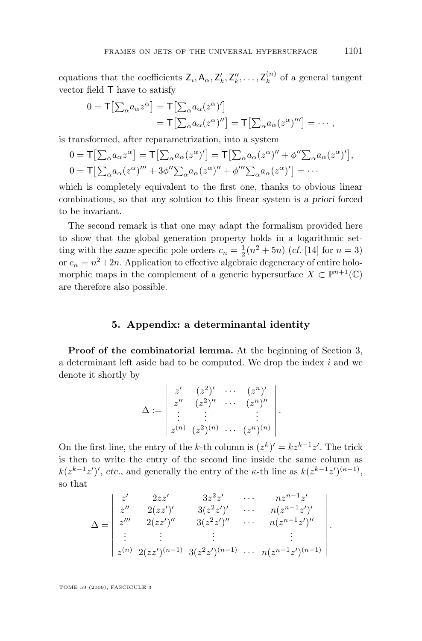equations that the coefficients  $\mathsf{Z}_i$ ,  $\mathsf{A}_{\alpha}$ ,  $\mathsf{Z}'_k$ ,  $\mathsf{Z}''_k$ , ...,  $\mathsf{Z}_k^{(n)}$  $k^{(n)}$  of a general tangent vector field T have to satisfy

$$
0 = \mathsf{T}[\sum_{\alpha} a_{\alpha} z^{\alpha}] = \mathsf{T}[\sum_{\alpha} a_{\alpha} (z^{\alpha})']
$$
  
=  $\mathsf{T}[\sum_{\alpha} a_{\alpha} (z^{\alpha})''] = \mathsf{T}[\sum_{\alpha} a_{\alpha} (z^{\alpha})'''] = \cdots,$ 

is transformed, after reparametrization, into a system

$$
0 = \mathsf{T}\left[\sum_{\alpha} a_{\alpha} z^{\alpha}\right] = \mathsf{T}\left[\sum_{\alpha} a_{\alpha} (z^{\alpha})'\right] = \mathsf{T}\left[\sum_{\alpha} a_{\alpha} (z^{\alpha})'' + \phi'' \sum_{\alpha} a_{\alpha} (z^{\alpha})'\right],
$$
  

$$
0 = \mathsf{T}\left[\sum_{\alpha} a_{\alpha} (z^{\alpha})''' + 3\phi'' \sum_{\alpha} a_{\alpha} (z^{\alpha})'' + \phi''' \sum_{\alpha} a_{\alpha} (z^{\alpha})'\right] = \cdots
$$

which is completely equivalent to the first one, thanks to obvious linear combinations, so that any solution to this linear system is *a priori* forced to be invariant.

The second remark is that one may adapt the formalism provided here to show that the global generation property holds in a logarithmic setting with the *same* specific pole orders  $c_n = \frac{1}{2}(n^2 + 5n)$  (*cf.* [\[14\]](#page-28-0) for  $n = 3$ ) or  $c_n = n^2 + 2n$ . Application to effective algebraic degeneracy of entire holomorphic maps in the complement of a generic hypersurface  $X \subset \mathbb{P}^{n+1}(\mathbb{C})$ are therefore also possible.

#### **5. Appendix: a determinantal identity**

**Proof of the combinatorial lemma.** At the beginning of Section 3, a determinant left aside had to be computed. We drop the index  $i$  and we denote it shortly by

$$
\Delta := \begin{vmatrix} z' & (z^2)' & \cdots & (z^n)' \\ z'' & (z^2)'' & \cdots & (z^n)'' \\ \vdots & \vdots & & \vdots \\ z^{(n)} & (z^2)^{(n)} & \cdots & (z^n)^{(n)} \end{vmatrix}.
$$

On the first line, the entry of the k-th column is  $(z^k)' = kz^{k-1}z'$ . The trick is then to write the entry of the second line inside the same column as  $k(z^{k-1}z')'$ , etc., and generally the entry of the  $\kappa$ -th line as  $k(z^{k-1}z')^{(\kappa-1)}$ , so that

$$
\Delta = \begin{vmatrix} z' & 2zz' & 3z^2z' & \cdots & nz^{n-1}z' \\ z'' & 2(zz')' & 3(z^2z')' & \cdots & n(z^{n-1}z')' \\ z''' & 2(zz')'' & 3(z^2z')'' & \cdots & n(z^{n-1}z')'' \\ \vdots & \vdots & \vdots & \vdots & \vdots \\ z^{(n)} & 2(zz')^{(n-1)} & 3(z^2z')^{(n-1)} & \cdots & n(z^{n-1}z')^{(n-1)} \end{vmatrix}.
$$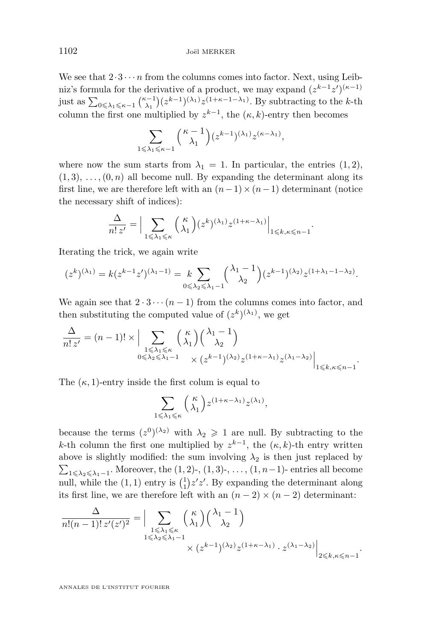We see that  $2 \cdot 3 \cdot \cdot \cdot n$  from the columns comes into factor. Next, using Leibniz's formula for the derivative of a product, we may expand  $(z^{k-1}z')^{(\kappa-1)}$ just as  $\sum_{0 \leq \lambda_1 \leq \kappa-1} {\kappa-1 \choose \lambda_1} (z^{k-1})^{(\lambda_1)} z^{(1+\kappa-1-\lambda_1)}$ . By subtracting to the k-th  $\lambda_1$ column the first one multiplied by  $z^{k-1}$ , the  $(\kappa, k)$ -entry then becomes

$$
\sum_{1 \leq \lambda_1 \leq \kappa-1} {\kappa-1 \choose \lambda_1} (z^{k-1})^{(\lambda_1)} z^{(\kappa-\lambda_1)},
$$

where now the sum starts from  $\lambda_1 = 1$ . In particular, the entries  $(1, 2)$ ,  $(1, 3), \ldots, (0, n)$  all become null. By expanding the determinant along its first line, we are therefore left with an  $(n-1)\times(n-1)$  determinant (notice the necessary shift of indices):

$$
\frac{\Delta}{n! \, z'} = \Big| \sum_{1 \leq \lambda_1 \leq \kappa} \binom{\kappa}{\lambda_1} (z^k)^{(\lambda_1)} z^{(1+\kappa-\lambda_1)} \Big|_{1 \leq k, \kappa \leq n-1}.
$$

Iterating the trick, we again write

$$
(z^k)^{(\lambda_1)} = k(z^{k-1}z')^{(\lambda_1-1)} = k \sum_{0 \leq \lambda_2 \leq \lambda_1-1} {\lambda_1-1 \choose \lambda_2} (z^{k-1})^{(\lambda_2)} z^{(1+\lambda_1-1-\lambda_2)}.
$$

We again see that  $2 \cdot 3 \cdots (n-1)$  from the columns comes into factor, and then substituting the computed value of  $(z^k)^{(\lambda_1)}$ , we get

$$
\frac{\Delta}{n! z'} = (n-1)! \times \Big| \sum_{\substack{1 \leq \lambda_1 \leq \kappa \\ 0 \leq \lambda_2 \leq \lambda_1 - 1}} \binom{\kappa}{\lambda_1} \binom{\lambda_1 - 1}{\lambda_2} \Big|_{\substack{2 \lambda_2 \leq \lambda_1 - 1 \ \times \binom{\kappa - 1}{\lambda_2} \lambda_2}} \Big|_{\substack{1 \leq k, \kappa \leq n-1}}.
$$

The  $(\kappa, 1)$ -entry inside the first colum is equal to

$$
\sum_{1 \leqslant \lambda_1 \leqslant \kappa} \binom{\kappa}{\lambda_1} z^{(1+\kappa-\lambda_1)} z^{(\lambda_1)},
$$

because the terms  $(z^0)^{(\lambda_2)}$  with  $\lambda_2 \geq 1$  are null. By subtracting to the k-th column the first one multiplied by  $z^{k-1}$ , the  $(\kappa, k)$ -th entry written above is slightly modified: the sum involving  $\lambda_2$  is then just replaced by  $\sum_{1 \leq \lambda_2 \leq \lambda_1 - 1}$ . Moreover, the  $(1, 2)$ -,  $(1, 3)$ -, ...,  $(1, n-1)$ - entries all become null, while the  $(1, 1)$  entry is  $\binom{1}{1}z'z'$ . By expanding the determinant along its first line, we are therefore left with an  $(n-2) \times (n-2)$  determinant:

$$
\frac{\Delta}{n!(n-1)!z'(z')^2} = \Big| \sum_{\substack{1 \le \lambda_1 \le \kappa \\ 1 \le \lambda_2 \le \lambda_1 - 1}} \binom{\kappa}{\lambda_1} \binom{\lambda_1 - 1}{\lambda_2} \times (z^{k-1})^{(\lambda_2)} z^{(1+\kappa-\lambda_1)} \cdot z^{(\lambda_1-\lambda_2)} \Big|_{2 \le k, \kappa \le n-1}.
$$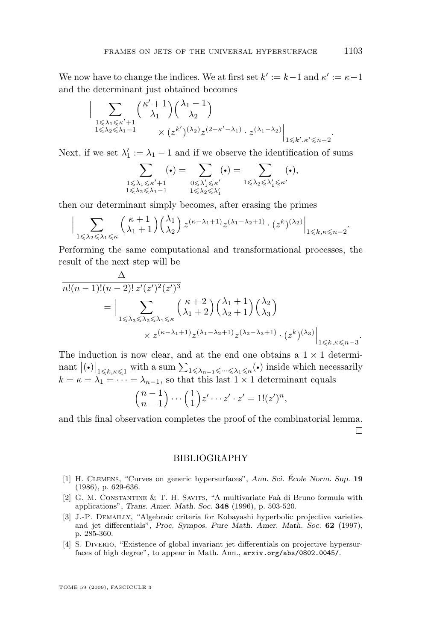<span id="page-27-0"></span>We now have to change the indices. We at first set  $k' := k - 1$  and  $\kappa' := \kappa - 1$ and the determinant just obtained becomes

$$
\Big| \sum_{\substack{1 \leqslant \lambda_1 \leqslant \kappa'+1 \\ 1 \leqslant \lambda_2 \leqslant \lambda_1-1}} \binom{\kappa'+1}{\lambda_1} \binom{\lambda_1-1}{\lambda_2} \times \left. \binom{\lambda_1-\lambda_2}{\lambda_2} \right|_{\substack{1 \leqslant \kappa', \kappa' \leqslant n-2}}.
$$

Next, if we set  $\lambda'_1 := \lambda_1 - 1$  and if we observe the identification of sums

$$
\sum_{\substack{1 \leqslant \lambda_1 \leqslant \kappa'+1 \\ 1 \leqslant \lambda_2 \leqslant \lambda_1-1}} ( \bullet ) = \sum_{\substack{0 \leqslant \lambda'_1 \leqslant \kappa' \\ 1 \leqslant \lambda_2 \leqslant \lambda'_1}} ( \bullet ) = \sum_{\substack{1 \leqslant \lambda_2 \leqslant \lambda'_1 \leqslant \kappa' }} ( \bullet ),
$$

then our determinant simply becomes, after erasing the primes

$$
\Big| \sum_{1 \leq \lambda_2 \leq \lambda_1 \leq \kappa} \binom{\kappa + 1}{\lambda_1 + 1} \binom{\lambda_1}{\lambda_2} z^{(\kappa - \lambda_1 + 1)} z^{(\lambda_1 - \lambda_2 + 1)} \cdot (z^k)^{(\lambda_2)} \Big|_{1 \leq k, \kappa \leq n - 2}.
$$

Performing the same computational and transformational processes, the result of the next step will be

$$
\frac{\Delta}{n!(n-1)!(n-2)!\,z'(z')^2(z')^3}
$$
\n
$$
= \Big|\sum_{1 \leq \lambda_3 \leq \lambda_2 \leq \lambda_1 \leq \kappa} {k+2 \choose \lambda_1+2} { \lambda_1+1 \choose \lambda_2}
$$
\n
$$
\times z^{(\kappa-\lambda_1+1)} z^{(\lambda_1-\lambda_2+1)} z^{(\lambda_2-\lambda_3+1)} \cdot (z^k)^{(\lambda_3)} \Big|_{1 \leq k,\kappa \leq n-3}.
$$

The induction is now clear, and at the end one obtains a  $1 \times 1$  determinant  $|(\cdot)|_{1\leq k,\kappa\leq 1}$  with a sum  $\sum_{1\leq \lambda_{n-1}\leq \cdots \leq \lambda_1\leq \kappa} (\cdot)$  inside which necessarily  $k = \kappa = \lambda_1 = \cdots = \lambda_{n-1}$ , so that this last  $1 \times 1$  determinant equals

$$
\binom{n-1}{n-1}\cdots\binom{1}{1}z'\cdots z'\cdot z'=1!(z')^n,
$$

and this final observation completes the proof of the combinatorial lemma. П

#### BIBLIOGRAPHY

- [1] H. Clemens, "Curves on generic hypersurfaces", *Ann. Sci. École Norm. Sup.* **19** (1986), p. 629-636.
- [2] G. M. Constantine & T. H. Savits, "A multivariate Faà di Bruno formula with applications", *Trans. Amer. Math. Soc.* **348** (1996), p. 503-520.
- [3] J.-P. Demailly, "Algebraic criteria for Kobayashi hyperbolic projective varieties and jet differentials", *Proc. Sympos. Pure Math. Amer. Math. Soc.* **62** (1997), p. 285-360.
- [4] S. Diverio, "Existence of global invariant jet differentials on projective hypersurfaces of high degree", to appear in Math. Ann., arxiv.org/abs/0802.0045/.